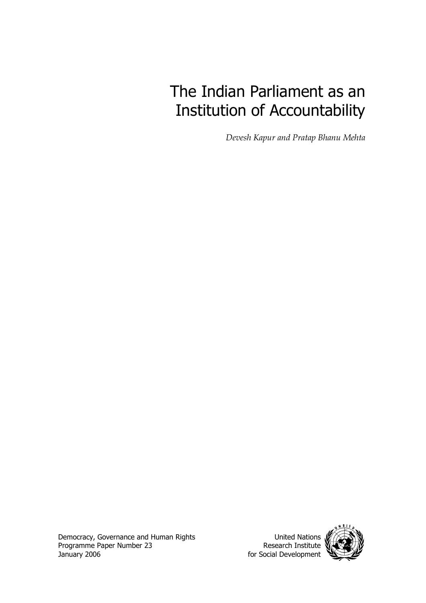# The Indian Parliament as an Institution of Accountability

*Devesh Kapur and Pratap Bhanu Mehta* 

Democracy, Governance and Human Rights Programme Paper Number 23 January 2006

United Nations Research Institute for Social Development

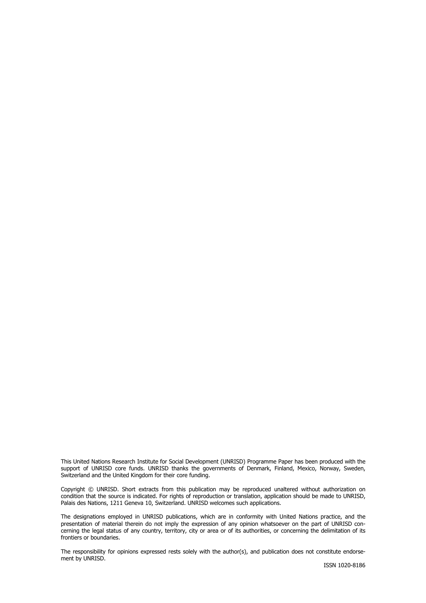This United Nations Research Institute for Social Development (UNRISD) Programme Paper has been produced with the support of UNRISD core funds. UNRISD thanks the governments of Denmark, Finland, Mexico, Norway, Sweden, Switzerland and the United Kingdom for their core funding.

Copyright © UNRISD. Short extracts from this publication may be reproduced unaltered without authorization on condition that the source is indicated. For rights of reproduction or translation, application should be made to UNRISD, Palais des Nations, 1211 Geneva 10, Switzerland. UNRISD welcomes such applications.

The designations employed in UNRISD publications, which are in conformity with United Nations practice, and the presentation of material therein do not imply the expression of any opinion whatsoever on the part of UNRISD concerning the legal status of any country, territory, city or area or of its authorities, or concerning the delimitation of its frontiers or boundaries.

The responsibility for opinions expressed rests solely with the author(s), and publication does not constitute endorsement by UNRISD.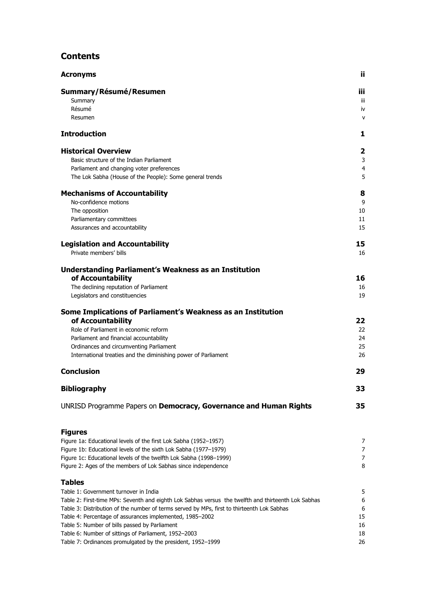## **Contents**

| <b>Acronyms</b>                                                                                     | ü              |
|-----------------------------------------------------------------------------------------------------|----------------|
| Summary/Résumé/Resumen                                                                              | iii.           |
| Summary                                                                                             | ΪÏ             |
| Résumé                                                                                              | iv             |
| Resumen                                                                                             | v              |
| <b>Introduction</b>                                                                                 | 1              |
| <b>Historical Overview</b>                                                                          | 2              |
| Basic structure of the Indian Parliament                                                            | 3              |
| Parliament and changing voter preferences                                                           | 4              |
| The Lok Sabha (House of the People): Some general trends                                            | 5              |
| <b>Mechanisms of Accountability</b>                                                                 | 8              |
| No-confidence motions                                                                               | 9              |
| The opposition                                                                                      | 10             |
| Parliamentary committees                                                                            | 11             |
| Assurances and accountability                                                                       | 15             |
| <b>Legislation and Accountability</b>                                                               | 15             |
| Private members' bills                                                                              | 16             |
| <b>Understanding Parliament's Weakness as an Institution</b>                                        |                |
| of Accountability                                                                                   | 16             |
| The declining reputation of Parliament                                                              | 16             |
| Legislators and constituencies                                                                      | 19             |
| Some Implications of Parliament's Weakness as an Institution                                        |                |
| of Accountability                                                                                   | 22             |
| Role of Parliament in economic reform                                                               | 22             |
| Parliament and financial accountability                                                             | 24             |
| Ordinances and circumventing Parliament                                                             | 25             |
| International treaties and the diminishing power of Parliament                                      | 26             |
| <b>Conclusion</b>                                                                                   | 29             |
| <b>Bibliography</b>                                                                                 | 33             |
| UNRISD Programme Papers on Democracy, Governance and Human Rights                                   | 35             |
| <b>Figures</b>                                                                                      |                |
| Figure 1a: Educational levels of the first Lok Sabha (1952-1957)                                    | 7              |
| Figure 1b: Educational levels of the sixth Lok Sabha (1977-1979)                                    | $\overline{7}$ |
| Figure 1c: Educational levels of the twelfth Lok Sabha (1998-1999)                                  | $\overline{7}$ |
| Figure 2: Ages of the members of Lok Sabhas since independence                                      | 8              |
| <b>Tables</b>                                                                                       |                |
| Table 1: Government turnover in India                                                               | 5              |
| Table 2: First-time MPs: Seventh and eighth Lok Sabhas versus the twelfth and thirteenth Lok Sabhas | 6              |
| Table 3: Distribution of the number of terms served by MPs, first to thirteenth Lok Sabhas          | 6              |
| Table 4: Percentage of assurances implemented, 1985-2002                                            | 15             |
| Table 5: Number of bills passed by Parliament                                                       | 16             |
| Table 6: Number of sittings of Parliament, 1952-2003                                                | 18             |
| Table 7: Ordinances promulgated by the president, 1952-1999                                         | 26             |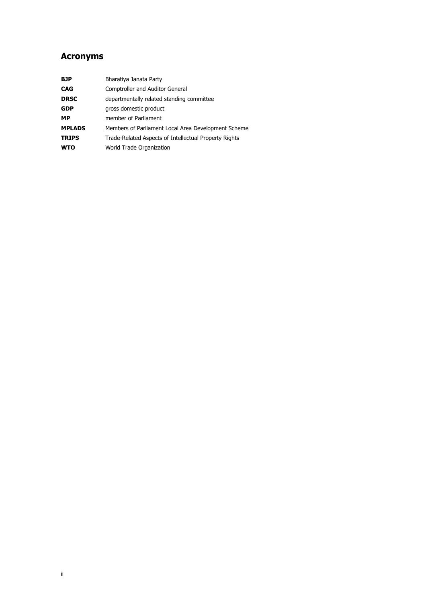## <span id="page-3-0"></span>**Acronyms**

| <b>BJP</b>    | Bharatiya Janata Party                                |
|---------------|-------------------------------------------------------|
| <b>CAG</b>    | Comptroller and Auditor General                       |
| <b>DRSC</b>   | departmentally related standing committee             |
| <b>GDP</b>    | gross domestic product                                |
| <b>MP</b>     | member of Parliament                                  |
| <b>MPLADS</b> | Members of Parliament Local Area Development Scheme   |
| <b>TRIPS</b>  | Trade-Related Aspects of Intellectual Property Rights |
| <b>WTO</b>    | World Trade Organization                              |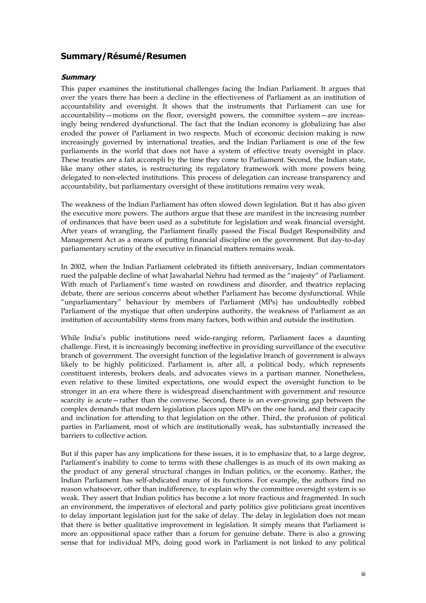## <span id="page-4-0"></span>**Summary/Résumé/Resumen**

#### **Summary**

This paper examines the institutional challenges facing the Indian Parliament. It argues that over the years there has been a decline in the effectiveness of Parliament as an institution of accountability and oversight. It shows that the instruments that Parliament can use for accountability—motions on the floor, oversight powers, the committee system—are increasingly being rendered dysfunctional. The fact that the Indian economy is globalizing has also eroded the power of Parliament in two respects. Much of economic decision making is now increasingly governed by international treaties, and the Indian Parliament is one of the few parliaments in the world that does not have a system of effective treaty oversight in place. These treaties are a fait accompli by the time they come to Parliament. Second, the Indian state, like many other states, is restructuring its regulatory framework with more powers being delegated to non-elected institutions. This process of delegation can increase transparency and accountability, but parliamentary oversight of these institutions remains very weak.

The weakness of the Indian Parliament has often slowed down legislation. But it has also given the executive more powers. The authors argue that these are manifest in the increasing number of ordinances that have been used as a substitute for legislation and weak financial oversight. After years of wrangling, the Parliament finally passed the Fiscal Budget Responsibility and Management Act as a means of putting financial discipline on the government. But day-to-day parliamentary scrutiny of the executive in financial matters remains weak.

In 2002, when the Indian Parliament celebrated its fiftieth anniversary, Indian commentators rued the palpable decline of what Jawaharlal Nehru had termed as the "majesty" of Parliament. With much of Parliament's time wasted on rowdiness and disorder, and theatrics replacing debate, there are serious concerns about whether Parliament has become dysfunctional. While "unparliamentary" behaviour by members of Parliament (MPs) has undoubtedly robbed Parliament of the mystique that often underpins authority, the weakness of Parliament as an institution of accountability stems from many factors, both within and outside the institution.

While India's public institutions need wide-ranging reform, Parliament faces a daunting challenge. First, it is increasingly becoming ineffective in providing surveillance of the executive branch of government. The oversight function of the legislative branch of government is always likely to be highly politicized. Parliament is, after all, a political body, which represents constituent interests, brokers deals, and advocates views in a partisan manner. Nonetheless, even relative to these limited expectations, one would expect the oversight function to be stronger in an era where there is widespread disenchantment with government and resource scarcity is acute—rather than the converse. Second, there is an ever-growing gap between the complex demands that modern legislation places upon MPs on the one hand, and their capacity and inclination for attending to that legislation on the other. Third, the profusion of political parties in Parliament, most of which are institutionally weak, has substantially increased the barriers to collective action.

But if this paper has any implications for these issues, it is to emphasize that, to a large degree, Parliament's inability to come to terms with these challenges is as much of its own making as the product of any general structural changes in Indian politics, or the economy. Rather, the Indian Parliament has self-abdicated many of its functions. For example, the authors find no reason whatsoever, other than indifference, to explain why the committee oversight system is so weak. They assert that Indian politics has become a lot more fractious and fragmented. In such an environment, the imperatives of electoral and party politics give politicians great incentives to delay important legislation just for the sake of delay. The delay in legislation does not mean that there is better qualitative improvement in legislation. It simply means that Parliament is more an oppositional space rather than a forum for genuine debate. There is also a growing sense that for individual MPs, doing good work in Parliament is not linked to any political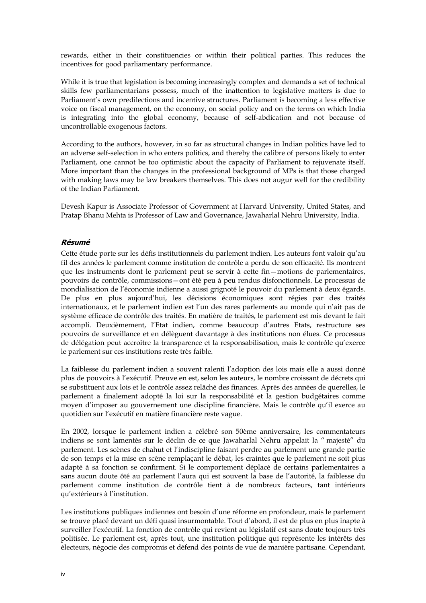<span id="page-5-0"></span>rewards, either in their constituencies or within their political parties. This reduces the incentives for good parliamentary performance.

While it is true that legislation is becoming increasingly complex and demands a set of technical skills few parliamentarians possess, much of the inattention to legislative matters is due to Parliament's own predilections and incentive structures. Parliament is becoming a less effective voice on fiscal management, on the economy, on social policy and on the terms on which India is integrating into the global economy, because of self-abdication and not because of uncontrollable exogenous factors.

According to the authors, however, in so far as structural changes in Indian politics have led to an adverse self-selection in who enters politics, and thereby the calibre of persons likely to enter Parliament, one cannot be too optimistic about the capacity of Parliament to rejuvenate itself. More important than the changes in the professional background of MPs is that those charged with making laws may be law breakers themselves. This does not augur well for the credibility of the Indian Parliament.

Devesh Kapur is Associate Professor of Government at Harvard University, United States, and Pratap Bhanu Mehta is Professor of Law and Governance, Jawaharlal Nehru University, India.

#### **Résumé**

Cette étude porte sur les défis institutionnels du parlement indien. Les auteurs font valoir qu'au fil des années le parlement comme institution de contrôle a perdu de son efficacité. Ils montrent que les instruments dont le parlement peut se servir à cette fin—motions de parlementaires, pouvoirs de contrôle, commissions—ont été peu à peu rendus disfonctionnels. Le processus de mondialisation de l'économie indienne a aussi grignoté le pouvoir du parlement à deux égards. De plus en plus aujourd'hui, les décisions économiques sont régies par des traités internationaux, et le parlement indien est l'un des rares parlements au monde qui n'ait pas de système efficace de contrôle des traités. En matière de traités, le parlement est mis devant le fait accompli. Deuxièmement, l'Etat indien, comme beaucoup d'autres Etats, restructure ses pouvoirs de surveillance et en délèguent davantage à des institutions non élues. Ce processus de délégation peut accroître la transparence et la responsabilisation, mais le contrôle qu'exerce le parlement sur ces institutions reste très faible.

La faiblesse du parlement indien a souvent ralenti l'adoption des lois mais elle a aussi donné plus de pouvoirs à l'exécutif. Preuve en est, selon les auteurs, le nombre croissant de décrets qui se substituent aux lois et le contrôle assez relâché des finances. Après des années de querelles, le parlement a finalement adopté la loi sur la responsabilité et la gestion budgétaires comme moyen d'imposer au gouvernement une discipline financière. Mais le contrôle qu'il exerce au quotidien sur l'exécutif en matière financière reste vague.

En 2002, lorsque le parlement indien a célébré son 50ème anniversaire, les commentateurs indiens se sont lamentés sur le déclin de ce que Jawaharlal Nehru appelait la " majesté" du parlement. Les scènes de chahut et l'indiscipline faisant perdre au parlement une grande partie de son temps et la mise en scène remplaçant le débat, les craintes que le parlement ne soit plus adapté à sa fonction se confirment. Si le comportement déplacé de certains parlementaires a sans aucun doute ôté au parlement l'aura qui est souvent la base de l'autorité, la faiblesse du parlement comme institution de contrôle tient à de nombreux facteurs, tant intérieurs qu'extérieurs à l'institution.

Les institutions publiques indiennes ont besoin d'une réforme en profondeur, mais le parlement se trouve placé devant un défi quasi insurmontable. Tout d'abord, il est de plus en plus inapte à surveiller l'exécutif. La fonction de contrôle qui revient au législatif est sans doute toujours très politisée. Le parlement est, après tout, une institution politique qui représente les intérêts des électeurs, négocie des compromis et défend des points de vue de manière partisane. Cependant,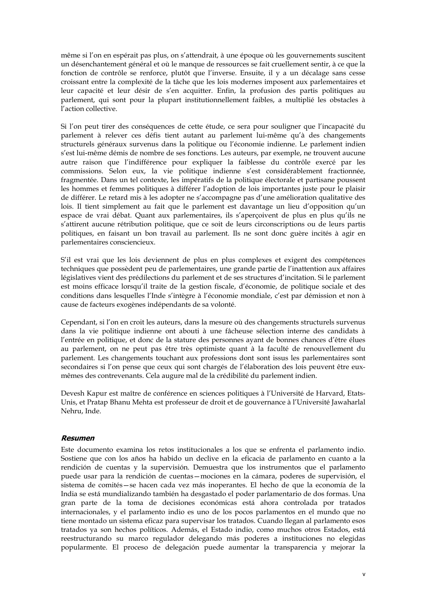<span id="page-6-0"></span>même si l'on en espérait pas plus, on s'attendrait, à une époque où les gouvernements suscitent un désenchantement général et où le manque de ressources se fait cruellement sentir, à ce que la fonction de contrôle se renforce, plutôt que l'inverse. Ensuite, il y a un décalage sans cesse croissant entre la complexité de la tâche que les lois modernes imposent aux parlementaires et leur capacité et leur désir de s'en acquitter. Enfin, la profusion des partis politiques au parlement, qui sont pour la plupart institutionnellement faibles, a multiplié les obstacles à l'action collective.

Si l'on peut tirer des conséquences de cette étude, ce sera pour souligner que l'incapacité du parlement à relever ces défis tient autant au parlement lui-même qu'à des changements structurels généraux survenus dans la politique ou l'économie indienne. Le parlement indien s'est lui-même démis de nombre de ses fonctions. Les auteurs, par exemple, ne trouvent aucune autre raison que l'indifférence pour expliquer la faiblesse du contrôle exercé par les commissions. Selon eux, la vie politique indienne s'est considérablement fractionnée, fragmentée. Dans un tel contexte, les impératifs de la politique électorale et partisane poussent les hommes et femmes politiques à différer l'adoption de lois importantes juste pour le plaisir de différer. Le retard mis à les adopter ne s'accompagne pas d'une amélioration qualitative des lois. Il tient simplement au fait que le parlement est davantage un lieu d'opposition qu'un espace de vrai débat. Quant aux parlementaires, ils s'aperçoivent de plus en plus qu'ils ne s'attirent aucune rétribution politique, que ce soit de leurs circonscriptions ou de leurs partis politiques, en faisant un bon travail au parlement. Ils ne sont donc guère incités à agir en parlementaires consciencieux.

S'il est vrai que les lois deviennent de plus en plus complexes et exigent des compétences techniques que possèdent peu de parlementaires, une grande partie de l'inattention aux affaires législatives vient des prédilections du parlement et de ses structures d'incitation. Si le parlement est moins efficace lorsqu'il traite de la gestion fiscale, d'économie, de politique sociale et des conditions dans lesquelles l'Inde s'intègre à l'économie mondiale, c'est par démission et non à cause de facteurs exogènes indépendants de sa volonté.

Cependant, si l'on en croit les auteurs, dans la mesure où des changements structurels survenus dans la vie politique indienne ont abouti à une fâcheuse sélection interne des candidats à l'entrée en politique, et donc de la stature des personnes ayant de bonnes chances d'être élues au parlement, on ne peut pas être très optimiste quant à la faculté de renouvellement du parlement. Les changements touchant aux professions dont sont issus les parlementaires sont secondaires si l'on pense que ceux qui sont chargés de l'élaboration des lois peuvent être euxmêmes des contrevenants. Cela augure mal de la crédibilité du parlement indien.

Devesh Kapur est maître de conférence en sciences politiques à l'Université de Harvard, Etats-Unis, et Pratap Bhanu Mehta est professeur de droit et de gouvernance à l'Université Jawaharlal Nehru, Inde.

#### **Resumen**

Este documento examina los retos institucionales a los que se enfrenta el parlamento indio. Sostiene que con los años ha habido un declive en la eficacia de parlamento en cuanto a la rendición de cuentas y la supervisión. Demuestra que los instrumentos que el parlamento puede usar para la rendición de cuentas—mociones en la cámara, poderes de supervisión, el sistema de comités—se hacen cada vez más inoperantes. El hecho de que la economía de la India se está mundializando también ha desgastado el poder parlamentario de dos formas. Una gran parte de la toma de decisiones económicas está ahora controlada por tratados internacionales, y el parlamento indio es uno de los pocos parlamentos en el mundo que no tiene montado un sistema eficaz para supervisar los tratados. Cuando llegan al parlamento esos tratados ya son hechos políticos. Además, el Estado indio, como muchos otros Estados, está reestructurando su marco regulador delegando más poderes a instituciones no elegidas popularmente. El proceso de delegación puede aumentar la transparencia y mejorar la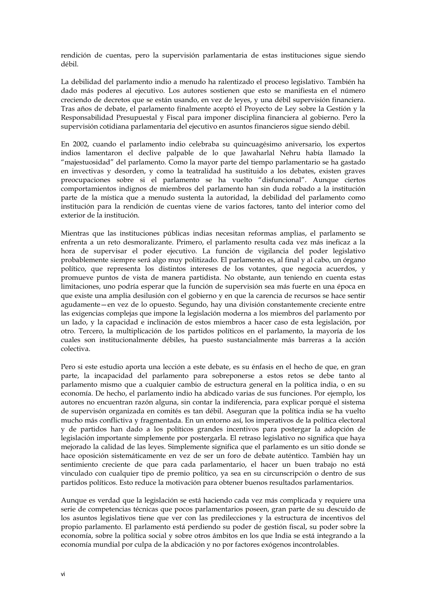rendición de cuentas, pero la supervisión parlamentaria de estas instituciones sigue siendo débil.

La debilidad del parlamento indio a menudo ha ralentizado el proceso legislativo. También ha dado más poderes al ejecutivo. Los autores sostienen que esto se manifiesta en el número creciendo de decretos que se están usando, en vez de leyes, y una débil supervisión financiera. Tras años de debate, el parlamento finalmente aceptó el Proyecto de Ley sobre la Gestión y la Responsabilidad Presupuestal y Fiscal para imponer disciplina financiera al gobierno. Pero la supervisión cotidiana parlamentaria del ejecutivo en asuntos financieros sigue siendo débil.

En 2002, cuando el parlamento indio celebraba su quincuagésimo aniversario, los expertos indios lamentaron el declive palpable de lo que Jawaharlal Nehru había llamado la "majestuosidad" del parlamento. Como la mayor parte del tiempo parlamentario se ha gastado en invectivas y desorden, y como la teatralidad ha sustituido a los debates, existen graves preocupaciones sobre si el parlamento se ha vuelto "disfuncional". Aunque ciertos comportamientos indignos de miembros del parlamento han sin duda robado a la institución parte de la mística que a menudo sustenta la autoridad, la debilidad del parlamento como institución para la rendición de cuentas viene de varios factores, tanto del interior como del exterior de la institución.

Mientras que las instituciones públicas indias necesitan reformas amplias, el parlamento se enfrenta a un reto desmoralizante. Primero, el parlamento resulta cada vez más ineficaz a la hora de supervisar el poder ejecutivo. La función de vigilancia del poder legislativo probablemente siempre será algo muy politizado. El parlamento es, al final y al cabo, un órgano político, que representa los distintos intereses de los votantes, que negocia acuerdos, y promueve puntos de vista de manera partidista. No obstante, aun teniendo en cuenta estas limitaciones, uno podría esperar que la función de supervisión sea más fuerte en una época en que existe una amplia desilusión con el gobierno y en que la carencia de recursos se hace sentir agudamente—en vez de lo opuesto. Segundo, hay una división constantemente creciente entre las exigencias complejas que impone la legislación moderna a los miembros del parlamento por un lado, y la capacidad e inclinación de estos miembros a hacer caso de esta legislación, por otro. Tercero, la multiplicación de los partidos políticos en el parlamento, la mayoría de los cuales son institucionalmente débiles, ha puesto sustancialmente más barreras a la acción colectiva.

Pero si este estudio aporta una lección a este debate, es su énfasis en el hecho de que, en gran parte, la incapacidad del parlamento para sobreponerse a estos retos se debe tanto al parlamento mismo que a cualquier cambio de estructura general en la política india, o en su economía. De hecho, el parlamento indio ha abdicado varias de sus funciones. Por ejemplo, los autores no encuentran razón alguna, sin contar la indiferencia, para explicar porqué el sistema de supervisón organizada en comités es tan débil. Aseguran que la política india se ha vuelto mucho más conflictiva y fragmentada. En un entorno así, los imperativos de la política electoral y de partidos han dado a los políticos grandes incentivos para postergar la adopción de legislación importante simplemente por postergarla. El retraso legislativo no significa que haya mejorado la calidad de las leyes. Simplemente significa que el parlamento es un sitio donde se hace oposición sistemáticamente en vez de ser un foro de debate auténtico. También hay un sentimiento creciente de que para cada parlamentario, el hacer un buen trabajo no está vinculado con cualquier tipo de premio político, ya sea en su circunscripción o dentro de sus partidos políticos. Esto reduce la motivación para obtener buenos resultados parlamentarios.

Aunque es verdad que la legislación se está haciendo cada vez más complicada y requiere una serie de competencias técnicas que pocos parlamentarios poseen, gran parte de su descuido de los asuntos legislativos tiene que ver con las predilecciones y la estructura de incentivos del propio parlamento. El parlamento está perdiendo su poder de gestión fiscal, su poder sobre la economía, sobre la política social y sobre otros ámbitos en los que India se está integrando a la economía mundial por culpa de la abdicación y no por factores exógenos incontrolables.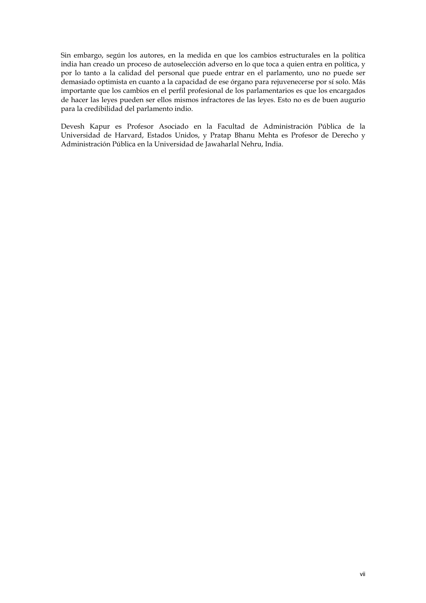Sin embargo, según los autores, en la medida en que los cambios estructurales en la política india han creado un proceso de autoselección adverso en lo que toca a quien entra en política, y por lo tanto a la calidad del personal que puede entrar en el parlamento, uno no puede ser demasiado optimista en cuanto a la capacidad de ese órgano para rejuvenecerse por sí solo. Más importante que los cambios en el perfil profesional de los parlamentarios es que los encargados de hacer las leyes pueden ser ellos mismos infractores de las leyes. Esto no es de buen augurio para la credibilidad del parlamento indio.

Devesh Kapur es Profesor Asociado en la Facultad de Administración Pública de la Universidad de Harvard, Estados Unidos, y Pratap Bhanu Mehta es Profesor de Derecho y Administración Pública en la Universidad de Jawaharlal Nehru, India.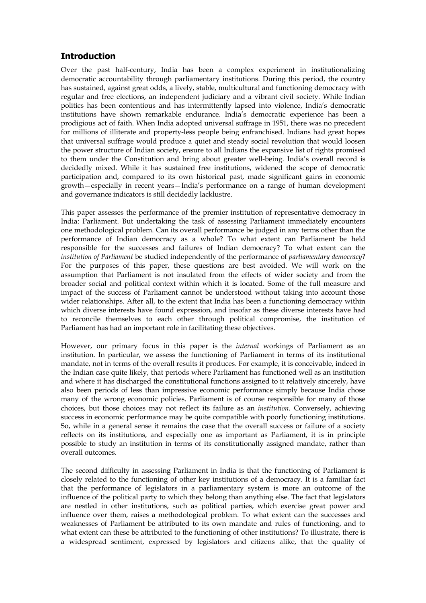## <span id="page-10-0"></span>**Introduction**

Over the past half-century, India has been a complex experiment in institutionalizing democratic accountability through parliamentary institutions. During this period, the country has sustained, against great odds, a lively, stable, multicultural and functioning democracy with regular and free elections, an independent judiciary and a vibrant civil society. While Indian politics has been contentious and has intermittently lapsed into violence, India's democratic institutions have shown remarkable endurance. India's democratic experience has been a prodigious act of faith. When India adopted universal suffrage in 1951, there was no precedent for millions of illiterate and property-less people being enfranchised. Indians had great hopes that universal suffrage would produce a quiet and steady social revolution that would loosen the power structure of Indian society, ensure to all Indians the expansive list of rights promised to them under the Constitution and bring about greater well-being. India's overall record is decidedly mixed. While it has sustained free institutions, widened the scope of democratic participation and, compared to its own historical past, made significant gains in economic growth—especially in recent years—India's performance on a range of human development and governance indicators is still decidedly lacklustre.

This paper assesses the performance of the premier institution of representative democracy in India: Parliament. But undertaking the task of assessing Parliament immediately encounters one methodological problem. Can its overall performance be judged in any terms other than the performance of Indian democracy as a whole? To what extent can Parliament be held responsible for the successes and failures of Indian democracy? To what extent can the *institution of Parliament* be studied independently of the performance of *parliamentary democracy*? For the purposes of this paper, these questions are best avoided. We will work on the assumption that Parliament is not insulated from the effects of wider society and from the broader social and political context within which it is located. Some of the full measure and impact of the success of Parliament cannot be understood without taking into account those wider relationships. After all, to the extent that India has been a functioning democracy within which diverse interests have found expression, and insofar as these diverse interests have had to reconcile themselves to each other through political compromise, the institution of Parliament has had an important role in facilitating these objectives.

However, our primary focus in this paper is the *internal* workings of Parliament as an institution. In particular, we assess the functioning of Parliament in terms of its institutional mandate, not in terms of the overall results it produces. For example, it is conceivable, indeed in the Indian case quite likely, that periods where Parliament has functioned well as an institution and where it has discharged the constitutional functions assigned to it relatively sincerely, have also been periods of less than impressive economic performance simply because India chose many of the wrong economic policies. Parliament is of course responsible for many of those choices, but those choices may not reflect its failure as an *institution*. Conversely, achieving success in economic performance may be quite compatible with poorly functioning institutions. So, while in a general sense it remains the case that the overall success or failure of a society reflects on its institutions, and especially one as important as Parliament, it is in principle possible to study an institution in terms of its constitutionally assigned mandate, rather than overall outcomes.

The second difficulty in assessing Parliament in India is that the functioning of Parliament is closely related to the functioning of other key institutions of a democracy. It is a familiar fact that the performance of legislators in a parliamentary system is more an outcome of the influence of the political party to which they belong than anything else. The fact that legislators are nestled in other institutions, such as political parties, which exercise great power and influence over them, raises a methodological problem. To what extent can the successes and weaknesses of Parliament be attributed to its own mandate and rules of functioning, and to what extent can these be attributed to the functioning of other institutions? To illustrate, there is a widespread sentiment, expressed by legislators and citizens alike, that the quality of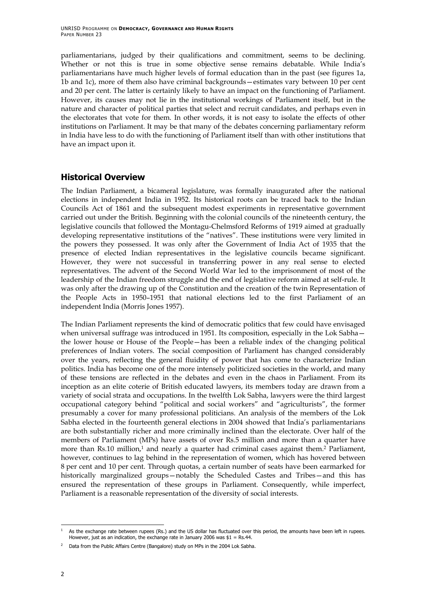<span id="page-11-0"></span>parliamentarians, judged by their qualifications and commitment, seems to be declining. Whether or not this is true in some objective sense remains debatable. While India's parliamentarians have much higher levels of formal education than in the past (see figures 1a, 1b and 1c), more of them also have criminal backgrounds—estimates vary between 10 per cent and 20 per cent. The latter is certainly likely to have an impact on the functioning of Parliament. However, its causes may not lie in the institutional workings of Parliament itself, but in the nature and character of political parties that select and recruit candidates, and perhaps even in the electorates that vote for them. In other words, it is not easy to isolate the effects of other institutions on Parliament. It may be that many of the debates concerning parliamentary reform in India have less to do with the functioning of Parliament itself than with other institutions that have an impact upon it.

## **Historical Overview**

The Indian Parliament, a bicameral legislature, was formally inaugurated after the national elections in independent India in 1952. Its historical roots can be traced back to the Indian Councils Act of 1861 and the subsequent modest experiments in representative government carried out under the British. Beginning with the colonial councils of the nineteenth century, the legislative councils that followed the Montagu-Chelmsford Reforms of 1919 aimed at gradually developing representative institutions of the "natives". These institutions were very limited in the powers they possessed. It was only after the Government of India Act of 1935 that the presence of elected Indian representatives in the legislative councils became significant. However, they were not successful in transferring power in any real sense to elected representatives. The advent of the Second World War led to the imprisonment of most of the leadership of the Indian freedom struggle and the end of legislative reform aimed at self-rule. It was only after the drawing up of the Constitution and the creation of the twin Representation of the People Acts in 1950–1951 that national elections led to the first Parliament of an independent India (Morris Jones 1957).

The Indian Parliament represents the kind of democratic politics that few could have envisaged when universal suffrage was introduced in 1951. Its composition, especially in the Lok Sabhathe lower house or House of the People—has been a reliable index of the changing political preferences of Indian voters. The social composition of Parliament has changed considerably over the years, reflecting the general fluidity of power that has come to characterize Indian politics. India has become one of the more intensely politicized societies in the world, and many of these tensions are reflected in the debates and even in the chaos in Parliament. From its inception as an elite coterie of British educated lawyers, its members today are drawn from a variety of social strata and occupations. In the twelfth Lok Sabha, lawyers were the third largest occupational category behind "political and social workers" and "agriculturists", the former presumably a cover for many professional politicians. An analysis of the members of the Lok Sabha elected in the fourteenth general elections in 2004 showed that India's parliamentarians are both substantially richer and more criminally inclined than the electorate. Over half of the members of Parliament (MPs) have assets of over Rs.5 million and more than a quarter have more than Rs.10 million,<sup>1</sup> and nearly a quarter had criminal cases against them.<sup>2</sup> Parliament, however, continues to lag behind in the representation of women, which has hovered between 8 per cent and 10 per cent. Through quotas, a certain number of seats have been earmarked for historically marginalized groups—notably the Scheduled Castes and Tribes—and this has ensured the representation of these groups in Parliament. Consequently, while imperfect, Parliament is a reasonable representation of the diversity of social interests.

<span id="page-11-1"></span><sup>-</sup>As the exchange rate between rupees (Rs.) and the US dollar has fluctuated over this period, the amounts have been left in rupees. However, just as an indication, the exchange rate in January 2006 was  $$1 = Rs.44$ .

<span id="page-11-2"></span><sup>&</sup>lt;sup>2</sup> Data from the Public Affairs Centre (Bangalore) study on MPs in the 2004 Lok Sabha.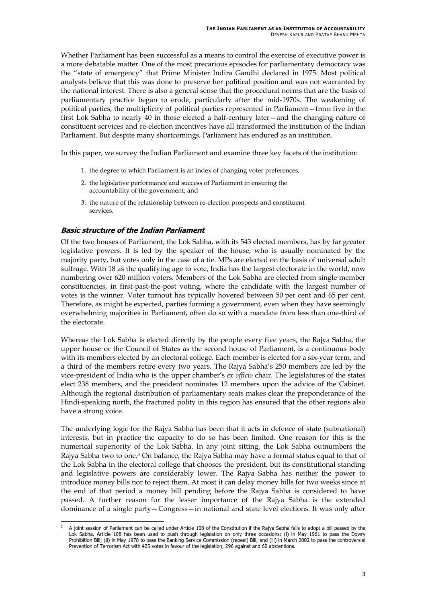<span id="page-12-0"></span>Whether Parliament has been successful as a means to control the exercise of executive power is a more debatable matter. One of the most precarious episodes for parliamentary democracy was the "state of emergency" that Prime Minister Indira Gandhi declared in 1975. Most political analysts believe that this was done to preserve her political position and was not warranted by the national interest. There is also a general sense that the procedural norms that are the basis of parliamentary practice began to erode, particularly after the mid-1970s. The weakening of political parties, the multiplicity of political parties represented in Parliament—from five in the first Lok Sabha to nearly 40 in those elected a half-century later—and the changing nature of constituent services and re-election incentives have all transformed the institution of the Indian Parliament. But despite many shortcomings, Parliament has endured as an institution.

In this paper, we survey the Indian Parliament and examine three key facets of the institution:

- 1. the degree to which Parliament is an index of changing voter preferences,
- 2. the legislative performance and success of Parliament in ensuring the accountability of the government; and
- 3. the nature of the relationship between re-election prospects and constituent services.

#### **Basic structure of the Indian Parliament**

Of the two houses of Parliament, the Lok Sabha, with its 543 elected members, has by far greater legislative powers. It is led by the speaker of the house, who is usually nominated by the majority party, but votes only in the case of a tie. MPs are elected on the basis of universal adult suffrage. With 18 as the qualifying age to vote, India has the largest electorate in the world, now numbering over 620 million voters. Members of the Lok Sabha are elected from single member constituencies, in first-past-the-post voting, where the candidate with the largest number of votes is the winner. Voter turnout has typically hovered between 50 per cent and 65 per cent. Therefore, as might be expected, parties forming a government, even when they have seemingly overwhelming majorities in Parliament, often do so with a mandate from less than one-third of the electorate.

Whereas the Lok Sabha is elected directly by the people every five years, the Rajya Sabha, the upper house or the Council of States as the second house of Parliament, is a continuous body with its members elected by an electoral college. Each member is elected for a six-year term, and a third of the members retire every two years. The Rajya Sabha's 250 members are led by the vice-president of India who is the upper chamber's *ex officio* chair. The legislatures of the states elect 238 members, and the president nominates 12 members upon the advice of the Cabinet. Although the regional distribution of parliamentary seats makes clear the preponderance of the Hindi-speaking north, the fractured polity in this region has ensured that the other regions also have a strong voice.

The underlying logic for the Rajya Sabha has been that it acts in defence of state (subnational) interests, but in practice the capacity to do so has been limited. One reason for this is the numerical superiority of the Lok Sabha. In any joint sitting, the Lok Sabha outnumbers the Rajya Sabha two to one.<sup>3</sup> On balance, the Rajya Sabha may have a formal status equal to that of the Lok Sabha in the electoral college that chooses the president, but its constitutional standing and legislative powers are considerably lower. The Rajya Sabha has neither the power to introduce money bills nor to reject them. At most it can delay money bills for two weeks since at the end of that period a money bill pending before the Rajya Sabha is considered to have passed. A further reason for the lesser importance of the Rajya Sabha is the extended dominance of a single party—Congress—in national and state level elections. It was only after

<span id="page-12-1"></span>j <sup>3</sup> A joint session of Parliament can be called under Article 108 of the Constitution if the Rajya Sabha fails to adopt a bill passed by the Lok Sabha. Article 108 has been used to push through legislation on only three occasions: (i) in May 1961 to pass the Dowry Prohibition Bill; (ii) in May 1978 to pass the Banking Service Commission (repeal) Bill; and (iii) in March 2002 to pass the controversial Prevention of Terrorism Act with 425 votes in favour of the legislation, 296 against and 60 abstentions.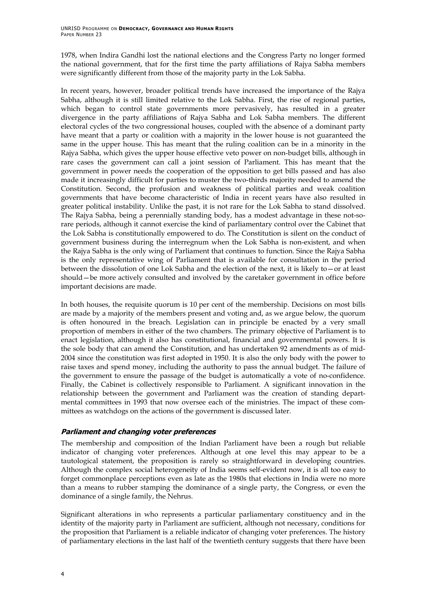<span id="page-13-0"></span>1978, when Indira Gandhi lost the national elections and the Congress Party no longer formed the national government, that for the first time the party affiliations of Rajya Sabha members were significantly different from those of the majority party in the Lok Sabha.

In recent years, however, broader political trends have increased the importance of the Rajya Sabha, although it is still limited relative to the Lok Sabha. First, the rise of regional parties, which began to control state governments more pervasively, has resulted in a greater divergence in the party affiliations of Rajya Sabha and Lok Sabha members. The different electoral cycles of the two congressional houses, coupled with the absence of a dominant party have meant that a party or coalition with a majority in the lower house is not guaranteed the same in the upper house. This has meant that the ruling coalition can be in a minority in the Rajya Sabha, which gives the upper house effective veto power on non-budget bills, although in rare cases the government can call a joint session of Parliament. This has meant that the government in power needs the cooperation of the opposition to get bills passed and has also made it increasingly difficult for parties to muster the two-thirds majority needed to amend the Constitution. Second, the profusion and weakness of political parties and weak coalition governments that have become characteristic of India in recent years have also resulted in greater political instability. Unlike the past, it is not rare for the Lok Sabha to stand dissolved. The Rajya Sabha, being a perennially standing body, has a modest advantage in these not-sorare periods, although it cannot exercise the kind of parliamentary control over the Cabinet that the Lok Sabha is constitutionally empowered to do. The Constitution is silent on the conduct of government business during the interregnum when the Lok Sabha is non-existent, and when the Rajya Sabha is the only wing of Parliament that continues to function. Since the Rajya Sabha is the only representative wing of Parliament that is available for consultation in the period between the dissolution of one Lok Sabha and the election of the next, it is likely to—or at least should—be more actively consulted and involved by the caretaker government in office before important decisions are made.

In both houses, the requisite quorum is 10 per cent of the membership. Decisions on most bills are made by a majority of the members present and voting and, as we argue below, the quorum is often honoured in the breach. Legislation can in principle be enacted by a very small proportion of members in either of the two chambers. The primary objective of Parliament is to enact legislation, although it also has constitutional, financial and governmental powers. It is the sole body that can amend the Constitution, and has undertaken 92 amendments as of mid-2004 since the constitution was first adopted in 1950. It is also the only body with the power to raise taxes and spend money, including the authority to pass the annual budget. The failure of the government to ensure the passage of the budget is automatically a vote of no-confidence. Finally, the Cabinet is collectively responsible to Parliament. A significant innovation in the relationship between the government and Parliament was the creation of standing departmental committees in 1993 that now oversee each of the ministries. The impact of these committees as watchdogs on the actions of the government is discussed later.

#### **Parliament and changing voter preferences**

The membership and composition of the Indian Parliament have been a rough but reliable indicator of changing voter preferences. Although at one level this may appear to be a tautological statement, the proposition is rarely so straightforward in developing countries. Although the complex social heterogeneity of India seems self-evident now, it is all too easy to forget commonplace perceptions even as late as the 1980s that elections in India were no more than a means to rubber stamping the dominance of a single party, the Congress, or even the dominance of a single family, the Nehrus.

Significant alterations in who represents a particular parliamentary constituency and in the identity of the majority party in Parliament are sufficient, although not necessary, conditions for the proposition that Parliament is a reliable indicator of changing voter preferences. The history of parliamentary elections in the last half of the twentieth century suggests that there have been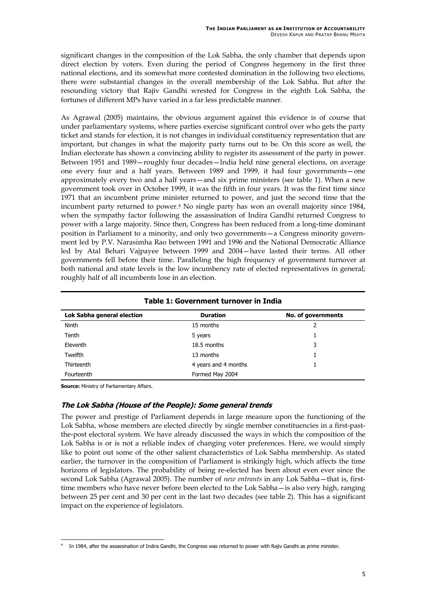<span id="page-14-0"></span>significant changes in the composition of the Lok Sabha, the only chamber that depends upon direct election by voters. Even during the period of Congress hegemony in the first three national elections, and its somewhat more contested domination in the following two elections, there were substantial changes in the overall membership of the Lok Sabha. But after the resounding victory that Rajiv Gandhi wrested for Congress in the eighth Lok Sabha, the fortunes of different MPs have varied in a far less predictable manner.

As Agrawal (2005) maintains, the obvious argument against this evidence is of course that under parliamentary systems, where parties exercise significant control over who gets the party ticket and stands for election, it is not changes in individual constituency representation that are important, but changes in what the majority party turns out to be. On this score as well, the Indian electorate has shown a convincing ability to register its assessment of the party in power. Between 1951 and 1989—roughly four decades—India held nine general elections, on average one every four and a half years. Between 1989 and 1999, it had four governments—one approximately every two and a half years—and six prime ministers (see table 1). When a new government took over in October 1999, it was the fifth in four years. It was the first time since 1971 that an incumbent prime minister returned to power, and just the second time that the incumbent party returned to power[.4](#page-14-1) No single party has won an overall majority since 1984, when the sympathy factor following the assassination of Indira Gandhi returned Congress to power with a large majority. Since then, Congress has been reduced from a long-time dominant position in Parliament to a minority, and only two governments—a Congress minority government led by P.V. Narasimha Rao between 1991 and 1996 and the National Democratic Alliance led by Atal Behari Vajpayee between 1999 and 2004—have lasted their terms. All other governments fell before their time. Paralleling the high frequency of government turnover at both national and state levels is the low incumbency rate of elected representatives in general; roughly half of all incumbents lose in an election.

| Table 1: Government turnover in India |                      |                    |
|---------------------------------------|----------------------|--------------------|
| Lok Sabha general election            | <b>Duration</b>      | No. of governments |
| <b>Ninth</b>                          | 15 months            | 2                  |
| Tenth                                 | 5 years              |                    |
| Eleventh                              | 18.5 months          | 3                  |
| Twelfth                               | 13 months            |                    |
| Thirteenth                            | 4 years and 4 months |                    |
| Fourteenth                            | Formed May 2004      |                    |

**Source:** Ministry of Parliamentary Affairs.

#### **The Lok Sabha (House of the People): Some general trends**

The power and prestige of Parliament depends in large measure upon the functioning of the Lok Sabha, whose members are elected directly by single member constituencies in a first-pastthe-post electoral system. We have already discussed the ways in which the composition of the Lok Sabha is or is not a reliable index of changing voter preferences. Here, we would simply like to point out some of the other salient characteristics of Lok Sabha membership. As stated earlier, the turnover in the composition of Parliament is strikingly high, which affects the time horizons of legislators. The probability of being re-elected has been about even ever since the second Lok Sabha (Agrawal 2005). The number of *new entrants* in any Lok Sabha—that is, firsttime members who have never before been elected to the Lok Sabha—is also very high, ranging between 25 per cent and 30 per cent in the last two decades (see table 2). This has a significant impact on the experience of legislators.

<span id="page-14-1"></span><sup>-</sup>In 1984, after the assassination of Indira Gandhi, the Congress was returned to power with Rajiv Gandhi as prime minister.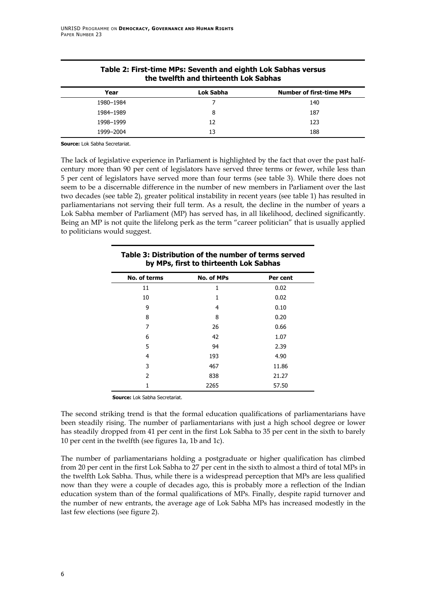<span id="page-15-0"></span>

| the twelfth and thirteenth Lok Sabhas |           |                                 |
|---------------------------------------|-----------|---------------------------------|
| Year                                  | Lok Sabha | <b>Number of first-time MPs</b> |
| 1980-1984                             |           | 140                             |
| 1984-1989                             | 8         | 187                             |
| 1998-1999                             | 12        | 123                             |
| 1999-2004                             | 13        | 188                             |

#### **Table 2: First-time MPs: Seventh and eighth Lok Sabhas versus the twelfth and thirteenth Lok Sabhas**

**Source:** Lok Sabha Secretariat.

The lack of legislative experience in Parliament is highlighted by the fact that over the past halfcentury more than 90 per cent of legislators have served three terms or fewer, while less than 5 per cent of legislators have served more than four terms (see table 3). While there does not seem to be a discernable difference in the number of new members in Parliament over the last two decades (see table 2), greater political instability in recent years (see table 1) has resulted in parliamentarians not serving their full term. As a result, the decline in the number of years a Lok Sabha member of Parliament (MP) has served has, in all likelihood, declined significantly. Being an MP is not quite the lifelong perk as the term "career politician" that is usually applied to politicians would suggest.

| Table 3: Distribution of the number of terms served<br>by MPs, first to thirteenth Lok Sabhas |                   |          |
|-----------------------------------------------------------------------------------------------|-------------------|----------|
| No. of terms                                                                                  | <b>No. of MPs</b> | Per cent |
| 11                                                                                            | 1                 | 0.02     |
| 10                                                                                            | 1                 | 0.02     |
| 9                                                                                             | 4                 | 0.10     |
| 8                                                                                             | 8                 | 0.20     |
| 7                                                                                             | 26                | 0.66     |
| 6                                                                                             | 42                | 1.07     |
| 5                                                                                             | 94                | 2.39     |
| 4                                                                                             | 193               | 4.90     |
| 3                                                                                             | 467               | 11.86    |
| $\mathcal{P}$                                                                                 | 838               | 21.27    |
|                                                                                               | 2265              | 57.50    |

**Source:** Lok Sabha Secretariat.

The second striking trend is that the formal education qualifications of parliamentarians have been steadily rising. The number of parliamentarians with just a high school degree or lower has steadily dropped from 41 per cent in the first Lok Sabha to 35 per cent in the sixth to barely 10 per cent in the twelfth (see figures 1a, 1b and 1c).

The number of parliamentarians holding a postgraduate or higher qualification has climbed from 20 per cent in the first Lok Sabha to 27 per cent in the sixth to almost a third of total MPs in the twelfth Lok Sabha. Thus, while there is a widespread perception that MPs are less qualified now than they were a couple of decades ago, this is probably more a reflection of the Indian education system than of the formal qualifications of MPs. Finally, despite rapid turnover and the number of new entrants, the average age of Lok Sabha MPs has increased modestly in the last few elections (see figure 2).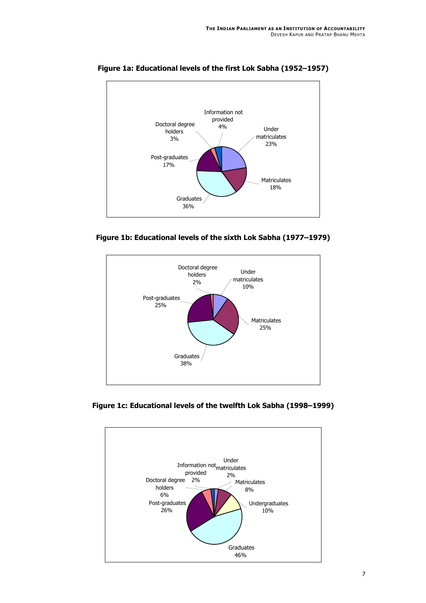

<span id="page-16-0"></span>**Figure 1a: Educational levels of the first Lok Sabha (1952–1957)** 





**Figure 1c: Educational levels of the twelfth Lok Sabha (1998–1999)** 

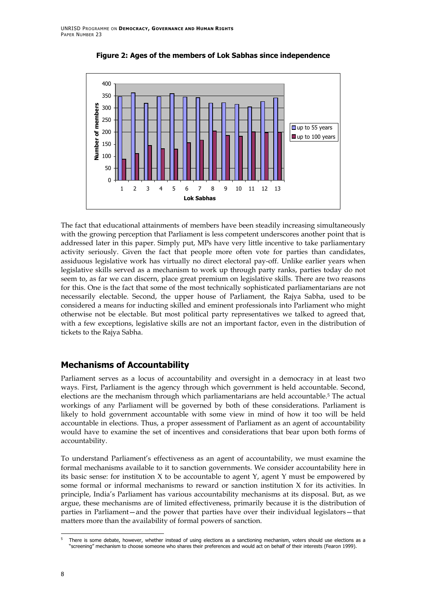<span id="page-17-0"></span>

**Figure 2: Ages of the members of Lok Sabhas since independence**

The fact that educational attainments of members have been steadily increasing simultaneously with the growing perception that Parliament is less competent underscores another point that is addressed later in this paper. Simply put, MPs have very little incentive to take parliamentary activity seriously. Given the fact that people more often vote for parties than candidates, assiduous legislative work has virtually no direct electoral pay-off. Unlike earlier years when legislative skills served as a mechanism to work up through party ranks, parties today do not seem to, as far we can discern, place great premium on legislative skills. There are two reasons for this. One is the fact that some of the most technically sophisticated parliamentarians are not necessarily electable. Second, the upper house of Parliament, the Rajya Sabha, used to be considered a means for inducting skilled and eminent professionals into Parliament who might otherwise not be electable. But most political party representatives we talked to agreed that, with a few exceptions, legislative skills are not an important factor, even in the distribution of tickets to the Rajya Sabha.

## **Mechanisms of Accountability**

Parliament serves as a locus of accountability and oversight in a democracy in at least two ways. First, Parliament is the agency through which government is held accountable. Second, elections are the mechanism through which parliamentarians are held accountable.[5](#page-17-1) The actual workings of any Parliament will be governed by both of these considerations. Parliament is likely to hold government accountable with some view in mind of how it too will be held accountable in elections. Thus, a proper assessment of Parliament as an agent of accountability would have to examine the set of incentives and considerations that bear upon both forms of accountability.

To understand Parliament's effectiveness as an agent of accountability, we must examine the formal mechanisms available to it to sanction governments. We consider accountability here in its basic sense: for institution  $X$  to be accountable to agent  $Y$ , agent  $Y$  must be empowered by some formal or informal mechanisms to reward or sanction institution X for its activities. In principle, India's Parliament has various accountability mechanisms at its disposal. But, as we argue, these mechanisms are of limited effectiveness, primarily because it is the distribution of parties in Parliament—and the power that parties have over their individual legislators—that matters more than the availability of formal powers of sanction.

<span id="page-17-1"></span>j There is some debate, however, whether instead of using elections as a sanctioning mechanism, voters should use elections as a "screening" mechanism to choose someone who shares their preferences and would act on behalf of their interests (Fearon 1999).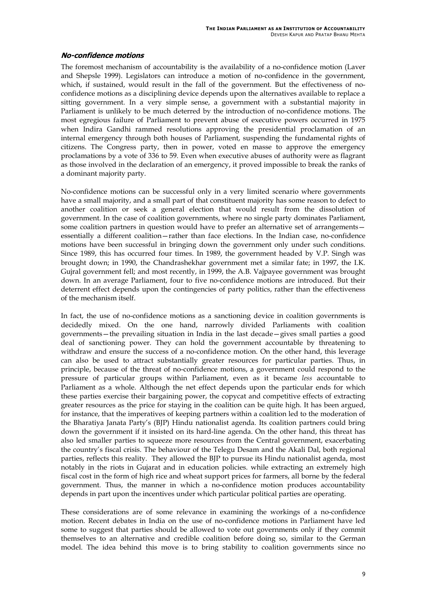#### <span id="page-18-0"></span>**No-confidence motions**

The foremost mechanism of accountability is the availability of a no-confidence motion (Laver and Shepsle 1999). Legislators can introduce a motion of no-confidence in the government, which, if sustained, would result in the fall of the government. But the effectiveness of noconfidence motions as a disciplining device depends upon the alternatives available to replace a sitting government. In a very simple sense, a government with a substantial majority in Parliament is unlikely to be much deterred by the introduction of no-confidence motions. The most egregious failure of Parliament to prevent abuse of executive powers occurred in 1975 when Indira Gandhi rammed resolutions approving the presidential proclamation of an internal emergency through both houses of Parliament, suspending the fundamental rights of citizens. The Congress party, then in power, voted en masse to approve the emergency proclamations by a vote of 336 to 59. Even when executive abuses of authority were as flagrant as those involved in the declaration of an emergency, it proved impossible to break the ranks of a dominant majority party.

No-confidence motions can be successful only in a very limited scenario where governments have a small majority, and a small part of that constituent majority has some reason to defect to another coalition or seek a general election that would result from the dissolution of government. In the case of coalition governments, where no single party dominates Parliament, some coalition partners in question would have to prefer an alternative set of arrangements essentially a different coalition—rather than face elections. In the Indian case, no-confidence motions have been successful in bringing down the government only under such conditions. Since 1989, this has occurred four times. In 1989, the government headed by V.P. Singh was brought down; in 1990, the Chandrashekhar government met a similar fate; in 1997, the I.K. Gujral government fell; and most recently, in 1999, the A.B. Vajpayee government was brought down. In an average Parliament, four to five no-confidence motions are introduced. But their deterrent effect depends upon the contingencies of party politics, rather than the effectiveness of the mechanism itself.

In fact, the use of no-confidence motions as a sanctioning device in coalition governments is decidedly mixed. On the one hand, narrowly divided Parliaments with coalition governments—the prevailing situation in India in the last decade—gives small parties a good deal of sanctioning power. They can hold the government accountable by threatening to withdraw and ensure the success of a no-confidence motion. On the other hand, this leverage can also be used to attract substantially greater resources for particular parties. Thus, in principle, because of the threat of no-confidence motions, a government could respond to the pressure of particular groups within Parliament, even as it became *less* accountable to Parliament as a whole. Although the net effect depends upon the particular ends for which these parties exercise their bargaining power, the copycat and competitive effects of extracting greater resources as the price for staying in the coalition can be quite high. It has been argued, for instance, that the imperatives of keeping partners within a coalition led to the moderation of the Bharatiya Janata Party's (BJP) Hindu nationalist agenda. Its coalition partners could bring down the government if it insisted on its hard-line agenda. On the other hand, this threat has also led smaller parties to squeeze more resources from the Central government, exacerbating the country's fiscal crisis. The behaviour of the Telegu Desam and the Akali Dal, both regional parties, reflects this reality. They allowed the BJP to pursue its Hindu nationalist agenda, most notably in the riots in Gujarat and in education policies. while extracting an extremely high fiscal cost in the form of high rice and wheat support prices for farmers, all borne by the federal government. Thus, the manner in which a no-confidence motion produces accountability depends in part upon the incentives under which particular political parties are operating.

These considerations are of some relevance in examining the workings of a no-confidence motion. Recent debates in India on the use of no-confidence motions in Parliament have led some to suggest that parties should be allowed to vote out governments only if they commit themselves to an alternative and credible coalition before doing so, similar to the German model. The idea behind this move is to bring stability to coalition governments since no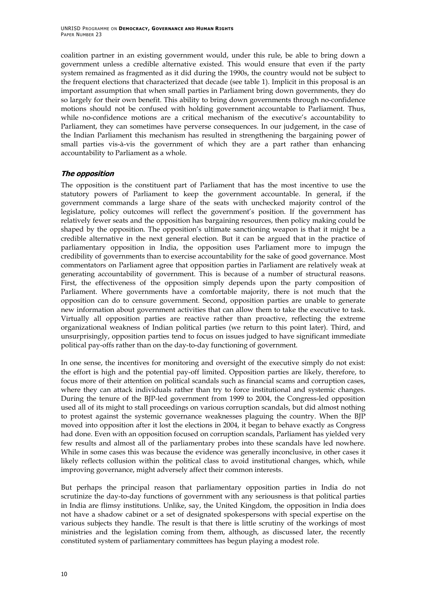<span id="page-19-0"></span>coalition partner in an existing government would, under this rule, be able to bring down a government unless a credible alternative existed. This would ensure that even if the party system remained as fragmented as it did during the 1990s, the country would not be subject to the frequent elections that characterized that decade (see table 1). Implicit in this proposal is an important assumption that when small parties in Parliament bring down governments, they do so largely for their own benefit. This ability to bring down governments through no-confidence motions should not be confused with holding government accountable to Parliament. Thus, while no-confidence motions are a critical mechanism of the executive's accountability to Parliament, they can sometimes have perverse consequences. In our judgement, in the case of the Indian Parliament this mechanism has resulted in strengthening the bargaining power of small parties vis-à-vis the government of which they are a part rather than enhancing accountability to Parliament as a whole.

#### **The opposition**

The opposition is the constituent part of Parliament that has the most incentive to use the statutory powers of Parliament to keep the government accountable. In general, if the government commands a large share of the seats with unchecked majority control of the legislature, policy outcomes will reflect the government's position. If the government has relatively fewer seats and the opposition has bargaining resources, then policy making could be shaped by the opposition. The opposition's ultimate sanctioning weapon is that it might be a credible alternative in the next general election. But it can be argued that in the practice of parliamentary opposition in India, the opposition uses Parliament more to impugn the credibility of governments than to exercise accountability for the sake of good governance. Most commentators on Parliament agree that opposition parties in Parliament are relatively weak at generating accountability of government. This is because of a number of structural reasons. First, the effectiveness of the opposition simply depends upon the party composition of Parliament. Where governments have a comfortable majority, there is not much that the opposition can do to censure government. Second, opposition parties are unable to generate new information about government activities that can allow them to take the executive to task. Virtually all opposition parties are reactive rather than proactive, reflecting the extreme organizational weakness of Indian political parties (we return to this point later). Third, and unsurprisingly, opposition parties tend to focus on issues judged to have significant immediate political pay-offs rather than on the day-to-day functioning of government.

In one sense, the incentives for monitoring and oversight of the executive simply do not exist: the effort is high and the potential pay-off limited. Opposition parties are likely, therefore, to focus more of their attention on political scandals such as financial scams and corruption cases, where they can attack individuals rather than try to force institutional and systemic changes. During the tenure of the BJP-led government from 1999 to 2004, the Congress-led opposition used all of its might to stall proceedings on various corruption scandals, but did almost nothing to protest against the systemic governance weaknesses plaguing the country. When the BJP moved into opposition after it lost the elections in 2004, it began to behave exactly as Congress had done. Even with an opposition focused on corruption scandals, Parliament has yielded very few results and almost all of the parliamentary probes into these scandals have led nowhere. While in some cases this was because the evidence was generally inconclusive, in other cases it likely reflects collusion within the political class to avoid institutional changes, which, while improving governance, might adversely affect their common interests.

But perhaps the principal reason that parliamentary opposition parties in India do not scrutinize the day-to-day functions of government with any seriousness is that political parties in India are flimsy institutions. Unlike, say, the United Kingdom, the opposition in India does not have a shadow cabinet or a set of designated spokespersons with special expertise on the various subjects they handle. The result is that there is little scrutiny of the workings of most ministries and the legislation coming from them, although, as discussed later, the recently constituted system of parliamentary committees has begun playing a modest role.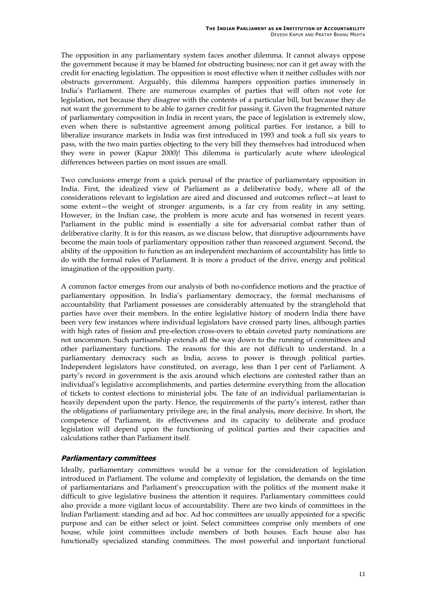<span id="page-20-0"></span>The opposition in any parliamentary system faces another dilemma. It cannot always oppose the government because it may be blamed for obstructing business; nor can it get away with the credit for enacting legislation. The opposition is most effective when it neither colludes with nor obstructs government. Arguably, this dilemma hampers opposition parties immensely in India's Parliament. There are numerous examples of parties that will often not vote for legislation, not because they disagree with the contents of a particular bill, but because they do not want the government to be able to garner credit for passing it. Given the fragmented nature of parliamentary composition in India in recent years, the pace of legislation is extremely slow, even when there is substantive agreement among political parties. For instance, a bill to liberalize insurance markets in India was first introduced in 1993 and took a full six years to pass, with the two main parties objecting to the very bill they themselves had introduced when they were in power (Kapur 2000)! This dilemma is particularly acute where ideological differences between parties on most issues are small.

Two conclusions emerge from a quick perusal of the practice of parliamentary opposition in India. First, the idealized view of Parliament as a deliberative body, where all of the considerations relevant to legislation are aired and discussed and outcomes reflect—at least to some extent—the weight of stronger arguments, is a far cry from reality in any setting. However, in the Indian case, the problem is more acute and has worsened in recent years. Parliament in the public mind is essentially a site for adversarial combat rather than of deliberative clarity. It is for this reason, as we discuss below, that disruptive adjournments have become the main tools of parliamentary opposition rather than reasoned argument. Second, the ability of the opposition to function as an independent mechanism of accountability has little to do with the formal rules of Parliament. It is more a product of the drive, energy and political imagination of the opposition party.

A common factor emerges from our analysis of both no-confidence motions and the practice of parliamentary opposition. In India's parliamentary democracy, the formal mechanisms of accountability that Parliament possesses are considerably attenuated by the stranglehold that parties have over their members. In the entire legislative history of modern India there have been very few instances where individual legislators have crossed party lines, although parties with high rates of fission and pre-election cross-overs to obtain coveted party nominations are not uncommon. Such partisanship extends all the way down to the running of committees and other parliamentary functions. The reasons for this are not difficult to understand. In a parliamentary democracy such as India, access to power is through political parties. Independent legislators have constituted, on average, less than 1 per cent of Parliament. A party's record in government is the axis around which elections are contested rather than an individual's legislative accomplishments, and parties determine everything from the allocation of tickets to contest elections to ministerial jobs. The fate of an individual parliamentarian is heavily dependent upon the party. Hence, the requirements of the party's interest, rather than the obligations of parliamentary privilege are, in the final analysis, more decisive. In short, the competence of Parliament, its effectiveness and its capacity to deliberate and produce legislation will depend upon the functioning of political parties and their capacities and calculations rather than Parliament itself.

#### **Parliamentary committees**

Ideally, parliamentary committees would be a venue for the consideration of legislation introduced in Parliament. The volume and complexity of legislation, the demands on the time of parliamentarians and Parliament's preoccupation with the politics of the moment make it difficult to give legislative business the attention it requires. Parliamentary committees could also provide a more vigilant locus of accountability. There are two kinds of committees in the Indian Parliament: standing and ad hoc. Ad hoc committees are usually appointed for a specific purpose and can be either select or joint. Select committees comprise only members of one house, while joint committees include members of both houses. Each house also has functionally specialized standing committees. The most powerful and important functional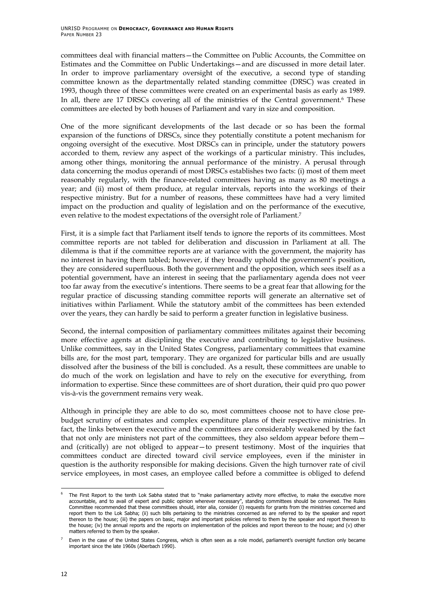committees deal with financial matters—the Committee on Public Accounts, the Committee on Estimates and the Committee on Public Undertakings—and are discussed in more detail later. In order to improve parliamentary oversight of the executive, a second type of standing committee known as the departmentally related standing committee (DRSC) was created in 1993, though three of these committees were created on an experimental basis as early as 1989. In all, there are 17 DRSCs covering all of the ministries of the Central government.<sup>6</sup> These committees are elected by both houses of Parliament and vary in size and composition.

One of the more significant developments of the last decade or so has been the formal expansion of the functions of DRSCs, since they potentially constitute a potent mechanism for ongoing oversight of the executive. Most DRSCs can in principle, under the statutory powers accorded to them, review any aspect of the workings of a particular ministry. This includes, among other things, monitoring the annual performance of the ministry. A perusal through data concerning the modus operandi of most DRSCs establishes two facts: (i) most of them meet reasonably regularly, with the finance-related committees having as many as 80 meetings a year; and (ii) most of them produce, at regular intervals, reports into the workings of their respective ministry. But for a number of reasons, these committees have had a very limited impact on the production and quality of legislation and on the performance of the executive, even relative to the modest expectations of the oversight role of Parliament.[7](#page-21-1)

First, it is a simple fact that Parliament itself tends to ignore the reports of its committees. Most committee reports are not tabled for deliberation and discussion in Parliament at all. The dilemma is that if the committee reports are at variance with the government, the majority has no interest in having them tabled; however, if they broadly uphold the government's position, they are considered superfluous. Both the government and the opposition, which sees itself as a potential government, have an interest in seeing that the parliamentary agenda does not veer too far away from the executive's intentions. There seems to be a great fear that allowing for the regular practice of discussing standing committee reports will generate an alternative set of initiatives within Parliament. While the statutory ambit of the committees has been extended over the years, they can hardly be said to perform a greater function in legislative business.

Second, the internal composition of parliamentary committees militates against their becoming more effective agents at disciplining the executive and contributing to legislative business. Unlike committees, say in the United States Congress, parliamentary committees that examine bills are, for the most part, temporary. They are organized for particular bills and are usually dissolved after the business of the bill is concluded. As a result, these committees are unable to do much of the work on legislation and have to rely on the executive for everything, from information to expertise. Since these committees are of short duration, their quid pro quo power vis-à-vis the government remains very weak.

Although in principle they are able to do so, most committees choose not to have close prebudget scrutiny of estimates and complex expenditure plans of their respective ministries. In fact, the links between the executive and the committees are considerably weakened by the fact that not only are ministers not part of the committees, they also seldom appear before them and (critically) are not obliged to appear—to present testimony. Most of the inquiries that committees conduct are directed toward civil service employees, even if the minister in question is the authority responsible for making decisions. Given the high turnover rate of civil service employees, in most cases, an employee called before a committee is obliged to defend

-

<span id="page-21-0"></span>The First Report to the tenth Lok Sabha stated that to "make parliamentary activity more effective, to make the executive more accountable, and to avail of expert and public opinion wherever necessary", standing committees should be convened. The Rules Committee recommended that these committees should, inter alia, consider (i) requests for grants from the ministries concerned and report them to the Lok Sabha; (ii) such bills pertaining to the ministries concerned as are referred to by the speaker and report thereon to the house; (iii) the papers on basic, major and important policies referred to them by the speaker and report thereon to the house; (iv) the annual reports and the reports on implementation of the policies and report thereon to the house; and (v) other matters referred to them by the speaker.

<span id="page-21-1"></span><sup>7</sup> Even in the case of the United States Congress, which is often seen as a role model, parliament's oversight function only became important since the late 1960s (Aberbach 1990).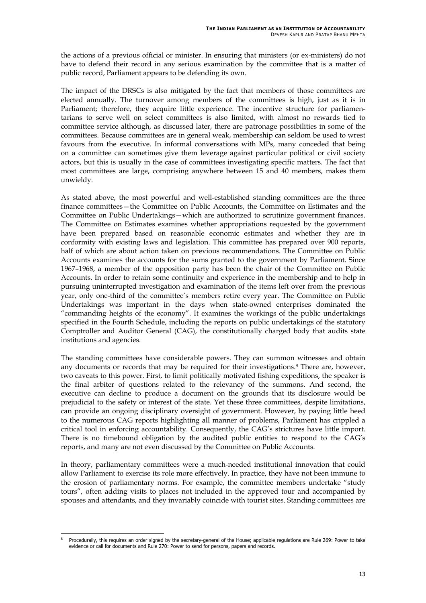the actions of a previous official or minister. In ensuring that ministers (or ex-ministers) do not have to defend their record in any serious examination by the committee that is a matter of public record, Parliament appears to be defending its own.

The impact of the DRSCs is also mitigated by the fact that members of those committees are elected annually. The turnover among members of the committees is high, just as it is in Parliament; therefore, they acquire little experience. The incentive structure for parliamentarians to serve well on select committees is also limited, with almost no rewards tied to committee service although, as discussed later, there are patronage possibilities in some of the committees. Because committees are in general weak, membership can seldom be used to wrest favours from the executive. In informal conversations with MPs, many conceded that being on a committee can sometimes give them leverage against particular political or civil society actors, but this is usually in the case of committees investigating specific matters. The fact that most committees are large, comprising anywhere between 15 and 40 members, makes them unwieldy.

As stated above, the most powerful and well-established standing committees are the three finance committees—the Committee on Public Accounts, the Committee on Estimates and the Committee on Public Undertakings—which are authorized to scrutinize government finances. The Committee on Estimates examines whether appropriations requested by the government have been prepared based on reasonable economic estimates and whether they are in conformity with existing laws and legislation. This committee has prepared over 900 reports, half of which are about action taken on previous recommendations. The Committee on Public Accounts examines the accounts for the sums granted to the government by Parliament. Since 1967–1968, a member of the opposition party has been the chair of the Committee on Public Accounts. In order to retain some continuity and experience in the membership and to help in pursuing uninterrupted investigation and examination of the items left over from the previous year, only one-third of the committee's members retire every year. The Committee on Public Undertakings was important in the days when state-owned enterprises dominated the "commanding heights of the economy". It examines the workings of the public undertakings specified in the Fourth Schedule, including the reports on public undertakings of the statutory Comptroller and Auditor General (CAG), the constitutionally charged body that audits state institutions and agencies.

The standing committees have considerable powers. They can summon witnesses and obtain any documents or records that may be required for their investigations.<sup>8</sup> There are, however, two caveats to this power. First, to limit politically motivated fishing expeditions, the speaker is the final arbiter of questions related to the relevancy of the summons. And second, the executive can decline to produce a document on the grounds that its disclosure would be prejudicial to the safety or interest of the state. Yet these three committees, despite limitations, can provide an ongoing disciplinary oversight of government. However, by paying little heed to the numerous CAG reports highlighting all manner of problems, Parliament has crippled a critical tool in enforcing accountability. Consequently, the CAG's strictures have little import. There is no timebound obligation by the audited public entities to respond to the CAG's reports, and many are not even discussed by the Committee on Public Accounts.

In theory, parliamentary committees were a much-needed institutional innovation that could allow Parliament to exercise its role more effectively. In practice, they have not been immune to the erosion of parliamentary norms. For example, the committee members undertake "study tours", often adding visits to places not included in the approved tour and accompanied by spouses and attendants, and they invariably coincide with tourist sites. Standing committees are

<span id="page-22-0"></span>j <sup>8</sup> Procedurally, this requires an order signed by the secretary-general of the House; applicable regulations are Rule 269: Power to take evidence or call for documents and Rule 270: Power to send for persons, papers and records.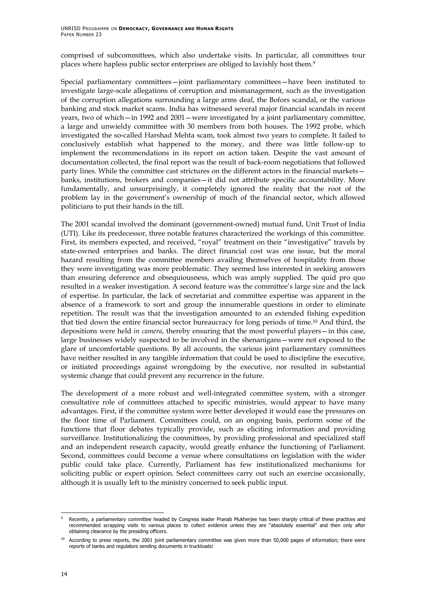comprised of subcommittees, which also undertake visits. In particular, all committees tour places where hapless public sector enterprises are obliged to lavishly host them.[9](#page-23-0)

Special parliamentary committees—joint parliamentary committees—have been instituted to investigate large-scale allegations of corruption and mismanagement, such as the investigation of the corruption allegations surrounding a large arms deal, the Bofors scandal, or the various banking and stock market scams. India has witnessed several major financial scandals in recent years, two of which—in 1992 and 2001—were investigated by a joint parliamentary committee, a large and unwieldy committee with 30 members from both houses. The 1992 probe, which investigated the so-called Harshad Mehta scam, took almost two years to complete. It failed to conclusively establish what happened to the money, and there was little follow-up to implement the recommendations in its report on action taken. Despite the vast amount of documentation collected, the final report was the result of back-room negotiations that followed party lines. While the committee cast strictures on the different actors in the financial markets banks, institutions, brokers and companies—it did not attribute specific accountability. More fundamentally, and unsurprisingly, it completely ignored the reality that the root of the problem lay in the government's ownership of much of the financial sector, which allowed politicians to put their hands in the till.

The 2001 scandal involved the dominant (government-owned) mutual fund, Unit Trust of India (UTI). Like its predecessor, three notable features characterized the workings of this committee. First, its members expected, and received, "royal" treatment on their "investigative" travels by state-owned enterprises and banks. The direct financial cost was one issue, but the moral hazard resulting from the committee members availing themselves of hospitality from those they were investigating was more problematic. They seemed less interested in seeking answers than ensuring deference and obsequiousness, which was amply supplied. The quid pro quo resulted in a weaker investigation. A second feature was the committee's large size and the lack of expertise. In particular, the lack of secretariat and committee expertise was apparent in the absence of a framework to sort and group the innumerable questions in order to eliminate repetition. The result was that the investigation amounted to an extended fishing expedition that tied down the entire financial sector bureaucracy for long periods of time.[10](#page-23-1) And third, the depositions were held *in camera*, thereby ensuring that the most powerful players—in this case, large businesses widely suspected to be involved in the shenanigans—were not exposed to the glare of uncomfortable questions. By all accounts, the various joint parliamentary committees have neither resulted in any tangible information that could be used to discipline the executive, or initiated proceedings against wrongdoing by the executive, nor resulted in substantial systemic change that could prevent any recurrence in the future.

The development of a more robust and well-integrated committee system, with a stronger consultative role of committees attached to specific ministries, would appear to have many advantages. First, if the committee system were better developed it would ease the pressures on the floor time of Parliament. Committees could, on an ongoing basis, perform some of the functions that floor debates typically provide, such as eliciting information and providing surveillance. Institutionalizing the committees, by providing professional and specialized staff and an independent research capacity, would greatly enhance the functioning of Parliament. Second, committees could become a venue where consultations on legislation with the wider public could take place. Currently, Parliament has few institutionalized mechanisms for soliciting public or expert opinion. Select committees carry out such an exercise occasionally, although it is usually left to the ministry concerned to seek public input.

<span id="page-23-0"></span>j Recently, a parliamentary committee headed by Congress leader Pranab Mukherjee has been sharply critical of these practices and recommended scrapping visits to various places to collect evidence unless they are "absolutely essential" and then only after obtaining clearance by the presiding officers.

<span id="page-23-1"></span><sup>&</sup>lt;sup>10</sup> According to press reports, the 2001 joint parliamentary committee was given more than 50,000 pages of information; there were reports of banks and regulators sending documents in truckloads!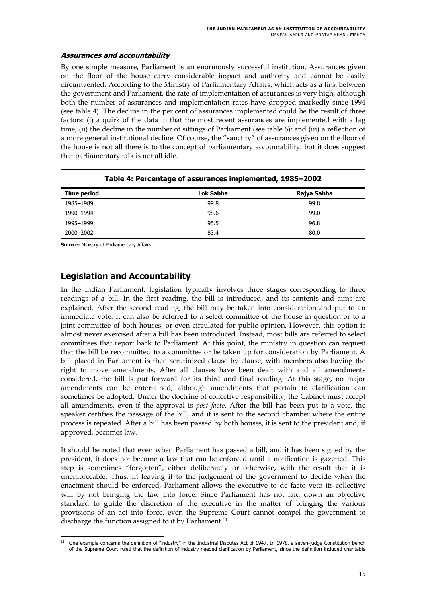#### <span id="page-24-1"></span><span id="page-24-0"></span>**Assurances and accountability**

By one simple measure, Parliament is an enormously successful institution. Assurances given on the floor of the house carry considerable impact and authority and cannot be easily circumvented. According to the Ministry of Parliamentary Affairs, which acts as a link between the government and Parliament, the rate of implementation of assurances is very high, although both the number of assurances and implementation rates have dropped markedly since 1994 (see table 4). The decline in the per cent of assurances implemented could be the result of three factors: (i) a quirk of the data in that the most recent assurances are implemented with a lag time; (ii) the decline in the number of sittings of Parliament (see table 6); and (iii) a reflection of a more general institutional decline. Of course, the "sanctity" of assurances given on the floor of the house is not all there is to the concept of parliamentary accountability, but it does suggest that parliamentary talk is not all idle.

| <u>. asis 11 . si sentage of assarances impremented; spec socia</u> |           |             |
|---------------------------------------------------------------------|-----------|-------------|
| <b>Time period</b>                                                  | Lok Sabha | Rajya Sabha |
| 1985-1989                                                           | 99.8      | 99.8        |
| 1990-1994                                                           | 98.6      | 99.0        |
| 1995-1999                                                           | 95.5      | 96.8        |
| 2000-2002                                                           | 83.4      | 80.0        |

#### **Table 4: Percentage of assurances implemented, 1985–2002**

**Source:** Ministry of Parliamentary Affairs.

## **Legislation and Accountability**

In the Indian Parliament, legislation typically involves three stages corresponding to three readings of a bill. In the first reading, the bill is introduced, and its contents and aims are explained. After the second reading, the bill may be taken into consideration and put to an immediate vote. It can also be referred to a select committee of the house in question or to a joint committee of both houses, or even circulated for public opinion. However, this option is almost never exercised after a bill has been introduced. Instead, most bills are referred to select committees that report back to Parliament. At this point, the ministry in question can request that the bill be recommitted to a committee or be taken up for consideration by Parliament. A bill placed in Parliament is then scrutinized clause by clause, with members also having the right to move amendments. After all clauses have been dealt with and all amendments considered, the bill is put forward for its third and final reading. At this stage, no major amendments can be entertained, although amendments that pertain to clarification can sometimes be adopted. Under the doctrine of collective responsibility, the Cabinet must accept all amendments, even if the approval is *post facto*. After the bill has been put to a vote, the speaker certifies the passage of the bill, and it is sent to the second chamber where the entire process is repeated. After a bill has been passed by both houses, it is sent to the president and, if approved, becomes law.

It should be noted that even when Parliament has passed a bill, and it has been signed by the president, it does not become a law that can be enforced until a notification is gazetted. This step is sometimes "forgotten", either deliberately or otherwise, with the result that it is unenforceable. Thus, in leaving it to the judgement of the government to decide when the enactment should be enforced, Parliament allows the executive to de facto veto its collective will by not bringing the law into force. Since Parliament has not laid down an objective standard to guide the discretion of the executive in the matter of bringing the various provisions of an act into force, even the Supreme Court cannot compel the government to discharge the function assigned to it by Parliament.<sup>[11](#page-24-1)</sup>

<sup>-</sup> $11$  One example concerns the definition of "industry" in the Industrial Disputes Act of 1947. In 1978, a seven-judge Constitution bench of the Supreme Court ruled that the definition of industry needed clarification by Parliament, since the definition included charitable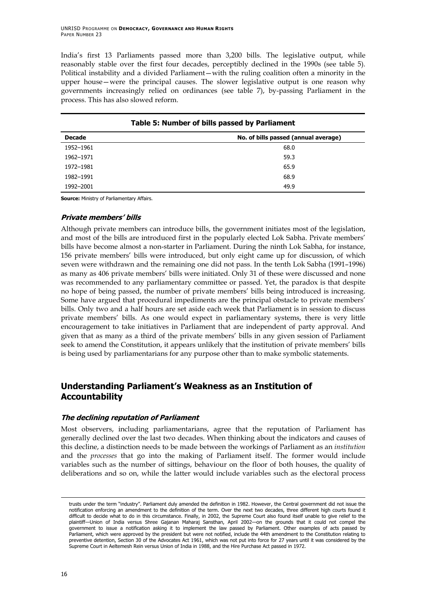<span id="page-25-0"></span>India's first 13 Parliaments passed more than 3,200 bills. The legislative output, while reasonably stable over the first four decades, perceptibly declined in the 1990s (see table 5). Political instability and a divided Parliament—with the ruling coalition often a minority in the upper house—were the principal causes. The slower legislative output is one reason why governments increasingly relied on ordinances (see table 7), by-passing Parliament in the process. This has also slowed reform.

| Table 5: Number of bills passed by Parliament |                                      |  |
|-----------------------------------------------|--------------------------------------|--|
| <b>Decade</b>                                 | No. of bills passed (annual average) |  |
| 1952-1961                                     | 68.0                                 |  |
| 1962-1971                                     | 59.3                                 |  |
| 1972-1981                                     | 65.9                                 |  |
| 1982-1991                                     | 68.9                                 |  |
| 1992-2001                                     | 49.9                                 |  |

**Source:** Ministry of Parliamentary Affairs.

#### **Private members' bills**

Although private members can introduce bills, the government initiates most of the legislation, and most of the bills are introduced first in the popularly elected Lok Sabha. Private members' bills have become almost a non-starter in Parliament. During the ninth Lok Sabha, for instance, 156 private members' bills were introduced, but only eight came up for discussion, of which seven were withdrawn and the remaining one did not pass. In the tenth Lok Sabha (1991–1996) as many as 406 private members' bills were initiated. Only 31 of these were discussed and none was recommended to any parliamentary committee or passed. Yet, the paradox is that despite no hope of being passed, the number of private members' bills being introduced is increasing. Some have argued that procedural impediments are the principal obstacle to private members' bills. Only two and a half hours are set aside each week that Parliament is in session to discuss private members' bills. As one would expect in parliamentary systems, there is very little encouragement to take initiatives in Parliament that are independent of party approval. And given that as many as a third of the private members' bills in any given session of Parliament seek to amend the Constitution, it appears unlikely that the institution of private members' bills is being used by parliamentarians for any purpose other than to make symbolic statements.

## **Understanding Parliament's Weakness as an Institution of Accountability**

#### **The declining reputation of Parliament**

Most observers, including parliamentarians, agree that the reputation of Parliament has generally declined over the last two decades. When thinking about the indicators and causes of this decline, a distinction needs to be made between the workings of Parliament as an *institution* and the *processes* that go into the making of Parliament itself. The former would include variables such as the number of sittings, behaviour on the floor of both houses, the quality of deliberations and so on, while the latter would include variables such as the electoral process

-

trusts under the term "industry". Parliament duly amended the definition in 1982. However, the Central government did not issue the notification enforcing an amendment to the definition of the term. Over the next two decades, three different high courts found it difficult to decide what to do in this circumstance. Finally, in 2002, the Supreme Court also found itself unable to give relief to the plaintiff—Union of India versus Shree Gajanan Maharaj Sansthan, April 2002—on the grounds that it could not compel the government to issue a notification asking it to implement the law passed by Parliament. Other examples of acts passed by Parliament, which were approved by the president but were not notified, include the 44th amendment to the Constitution relating to preventive detention, Section 30 of the Advocates Act 1961, which was not put into force for 27 years until it was considered by the Supreme Court in Aeltemesh Rein versus Union of India in 1988, and the Hire Purchase Act passed in 1972.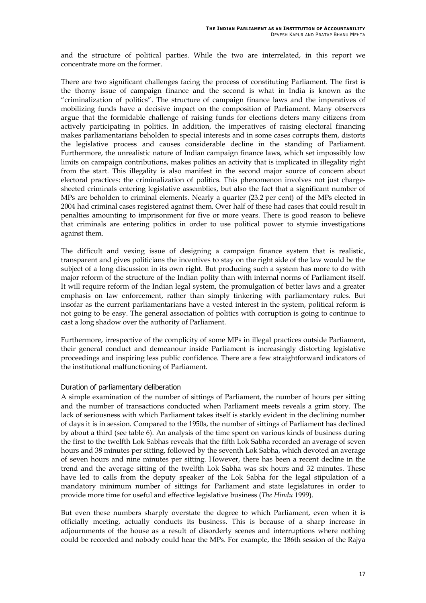and the structure of political parties. While the two are interrelated, in this report we concentrate more on the former.

There are two significant challenges facing the process of constituting Parliament. The first is the thorny issue of campaign finance and the second is what in India is known as the "criminalization of politics". The structure of campaign finance laws and the imperatives of mobilizing funds have a decisive impact on the composition of Parliament. Many observers argue that the formidable challenge of raising funds for elections deters many citizens from actively participating in politics. In addition, the imperatives of raising electoral financing makes parliamentarians beholden to special interests and in some cases corrupts them, distorts the legislative process and causes considerable decline in the standing of Parliament. Furthermore, the unrealistic nature of Indian campaign finance laws, which set impossibly low limits on campaign contributions, makes politics an activity that is implicated in illegality right from the start. This illegality is also manifest in the second major source of concern about electoral practices: the criminalization of politics. This phenomenon involves not just chargesheeted criminals entering legislative assemblies, but also the fact that a significant number of MPs are beholden to criminal elements. Nearly a quarter (23.2 per cent) of the MPs elected in 2004 had criminal cases registered against them. Over half of these had cases that could result in penalties amounting to imprisonment for five or more years. There is good reason to believe that criminals are entering politics in order to use political power to stymie investigations against them.

The difficult and vexing issue of designing a campaign finance system that is realistic, transparent and gives politicians the incentives to stay on the right side of the law would be the subject of a long discussion in its own right. But producing such a system has more to do with major reform of the structure of the Indian polity than with internal norms of Parliament itself. It will require reform of the Indian legal system, the promulgation of better laws and a greater emphasis on law enforcement, rather than simply tinkering with parliamentary rules. But insofar as the current parliamentarians have a vested interest in the system, political reform is not going to be easy. The general association of politics with corruption is going to continue to cast a long shadow over the authority of Parliament.

Furthermore, irrespective of the complicity of some MPs in illegal practices outside Parliament, their general conduct and demeanour inside Parliament is increasingly distorting legislative proceedings and inspiring less public confidence. There are a few straightforward indicators of the institutional malfunctioning of Parliament.

#### Duration of parliamentary deliberation

A simple examination of the number of sittings of Parliament, the number of hours per sitting and the number of transactions conducted when Parliament meets reveals a grim story. The lack of seriousness with which Parliament takes itself is starkly evident in the declining number of days it is in session. Compared to the 1950s, the number of sittings of Parliament has declined by about a third (see table 6). An analysis of the time spent on various kinds of business during the first to the twelfth Lok Sabhas reveals that the fifth Lok Sabha recorded an average of seven hours and 38 minutes per sitting, followed by the seventh Lok Sabha, which devoted an average of seven hours and nine minutes per sitting. However, there has been a recent decline in the trend and the average sitting of the twelfth Lok Sabha was six hours and 32 minutes. These have led to calls from the deputy speaker of the Lok Sabha for the legal stipulation of a mandatory minimum number of sittings for Parliament and state legislatures in order to provide more time for useful and effective legislative business (*The Hindu* 1999).

But even these numbers sharply overstate the degree to which Parliament, even when it is officially meeting, actually conducts its business. This is because of a sharp increase in adjournments of the house as a result of disorderly scenes and interruptions where nothing could be recorded and nobody could hear the MPs. For example, the 186th session of the Rajya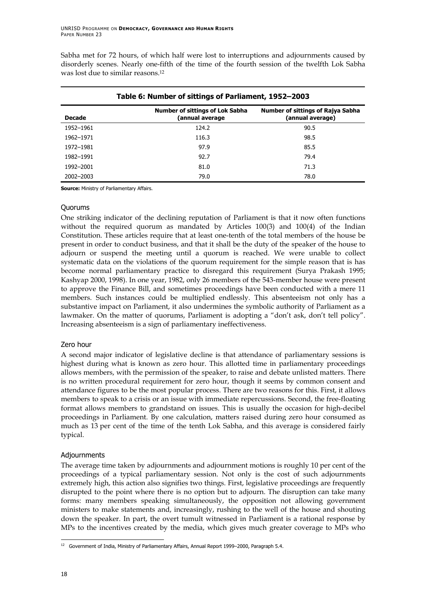<span id="page-27-0"></span>Sabha met for 72 hours, of which half were lost to interruptions and adjournments caused by disorderly scenes. Nearly one-fifth of the time of the fourth session of the twelfth Lok Sabha was lost due to similar reasons.[12](#page-27-1)

| Table 6: Number of sittings of Parliament, 1952–2003 |                                                           |                                                              |
|------------------------------------------------------|-----------------------------------------------------------|--------------------------------------------------------------|
| <b>Decade</b>                                        | <b>Number of sittings of Lok Sabha</b><br>(annual average | <b>Number of sittings of Rajya Sabha</b><br>(annual average) |
| 1952-1961                                            | 124.2                                                     | 90.5                                                         |
| 1962-1971                                            | 116.3                                                     | 98.5                                                         |
| 1972-1981                                            | 97.9                                                      | 85.5                                                         |
| 1982-1991                                            | 92.7                                                      | 79.4                                                         |
| 1992-2001                                            | 81.0                                                      | 71.3                                                         |
| 2002-2003                                            | 79.0                                                      | 78.0                                                         |

#### **Table 6: Number of sittings of Parliament, 1952–2003**

**Source:** Ministry of Parliamentary Affairs.

#### Quorums

One striking indicator of the declining reputation of Parliament is that it now often functions without the required quorum as mandated by Articles 100(3) and 100(4) of the Indian Constitution. These articles require that at least one-tenth of the total members of the house be present in order to conduct business, and that it shall be the duty of the speaker of the house to adjourn or suspend the meeting until a quorum is reached. We were unable to collect systematic data on the violations of the quorum requirement for the simple reason that is has become normal parliamentary practice to disregard this requirement (Surya Prakash 1995; Kashyap 2000, 1998). In one year, 1982, only 26 members of the 543-member house were present to approve the Finance Bill, and sometimes proceedings have been conducted with a mere 11 members. Such instances could be multiplied endlessly. This absenteeism not only has a substantive impact on Parliament, it also undermines the symbolic authority of Parliament as a lawmaker. On the matter of quorums, Parliament is adopting a "don't ask, don't tell policy". Increasing absenteeism is a sign of parliamentary ineffectiveness.

#### Zero hour

A second major indicator of legislative decline is that attendance of parliamentary sessions is highest during what is known as zero hour. This allotted time in parliamentary proceedings allows members, with the permission of the speaker, to raise and debate unlisted matters. There is no written procedural requirement for zero hour, though it seems by common consent and attendance figures to be the most popular process. There are two reasons for this. First, it allows members to speak to a crisis or an issue with immediate repercussions. Second, the free-floating format allows members to grandstand on issues. This is usually the occasion for high-decibel proceedings in Parliament. By one calculation, matters raised during zero hour consumed as much as 13 per cent of the time of the tenth Lok Sabha, and this average is considered fairly typical.

#### Adjournments

The average time taken by adjournments and adjournment motions is roughly 10 per cent of the proceedings of a typical parliamentary session. Not only is the cost of such adjournments extremely high, this action also signifies two things. First, legislative proceedings are frequently disrupted to the point where there is no option but to adjourn. The disruption can take many forms: many members speaking simultaneously, the opposition not allowing government ministers to make statements and, increasingly, rushing to the well of the house and shouting down the speaker. In part, the overt tumult witnessed in Parliament is a rational response by MPs to the incentives created by the media, which gives much greater coverage to MPs who

<span id="page-27-1"></span><sup>-</sup> $12$  Government of India, Ministry of Parliamentary Affairs, Annual Report 1999–2000, Paragraph 5.4.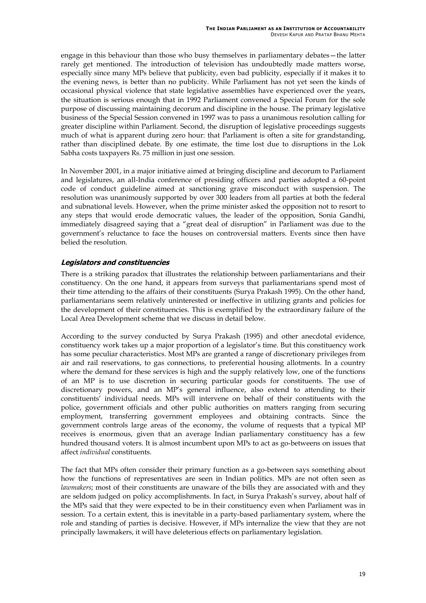<span id="page-28-0"></span>engage in this behaviour than those who busy themselves in parliamentary debates—the latter rarely get mentioned. The introduction of television has undoubtedly made matters worse, especially since many MPs believe that publicity, even bad publicity, especially if it makes it to the evening news, is better than no publicity. While Parliament has not yet seen the kinds of occasional physical violence that state legislative assemblies have experienced over the years, the situation is serious enough that in 1992 Parliament convened a Special Forum for the sole purpose of discussing maintaining decorum and discipline in the house. The primary legislative business of the Special Session convened in 1997 was to pass a unanimous resolution calling for greater discipline within Parliament. Second, the disruption of legislative proceedings suggests much of what is apparent during zero hour: that Parliament is often a site for grandstanding, rather than disciplined debate. By one estimate, the time lost due to disruptions in the Lok Sabha costs taxpayers Rs. 75 million in just one session.

In November 2001, in a major initiative aimed at bringing discipline and decorum to Parliament and legislatures, an all-India conference of presiding officers and parties adopted a 60-point code of conduct guideline aimed at sanctioning grave misconduct with suspension. The resolution was unanimously supported by over 300 leaders from all parties at both the federal and subnational levels. However, when the prime minister asked the opposition not to resort to any steps that would erode democratic values, the leader of the opposition, Sonia Gandhi, immediately disagreed saying that a "great deal of disruption" in Parliament was due to the government's reluctance to face the houses on controversial matters. Events since then have belied the resolution.

#### **Legislators and constituencies**

There is a striking paradox that illustrates the relationship between parliamentarians and their constituency. On the one hand, it appears from surveys that parliamentarians spend most of their time attending to the affairs of their constituents (Surya Prakash 1995). On the other hand, parliamentarians seem relatively uninterested or ineffective in utilizing grants and policies for the development of their constituencies. This is exemplified by the extraordinary failure of the Local Area Development scheme that we discuss in detail below.

According to the survey conducted by Surya Prakash (1995) and other anecdotal evidence, constituency work takes up a major proportion of a legislator's time. But this constituency work has some peculiar characteristics. Most MPs are granted a range of discretionary privileges from air and rail reservations, to gas connections, to preferential housing allotments. In a country where the demand for these services is high and the supply relatively low, one of the functions of an MP is to use discretion in securing particular goods for constituents. The use of discretionary powers, and an MP's general influence, also extend to attending to their constituents' individual needs. MPs will intervene on behalf of their constituents with the police, government officials and other public authorities on matters ranging from securing employment, transferring government employees and obtaining contracts. Since the government controls large areas of the economy, the volume of requests that a typical MP receives is enormous, given that an average Indian parliamentary constituency has a few hundred thousand voters. It is almost incumbent upon MPs to act as go-betweens on issues that affect *individual* constituents.

The fact that MPs often consider their primary function as a go-between says something about how the functions of representatives are seen in Indian politics. MPs are not often seen as *lawmakers*; most of their constituents are unaware of the bills they are associated with and they are seldom judged on policy accomplishments. In fact, in Surya Prakash's survey, about half of the MPs said that they were expected to be in their constituency even when Parliament was in session. To a certain extent, this is inevitable in a party-based parliamentary system, where the role and standing of parties is decisive. However, if MPs internalize the view that they are not principally lawmakers, it will have deleterious effects on parliamentary legislation.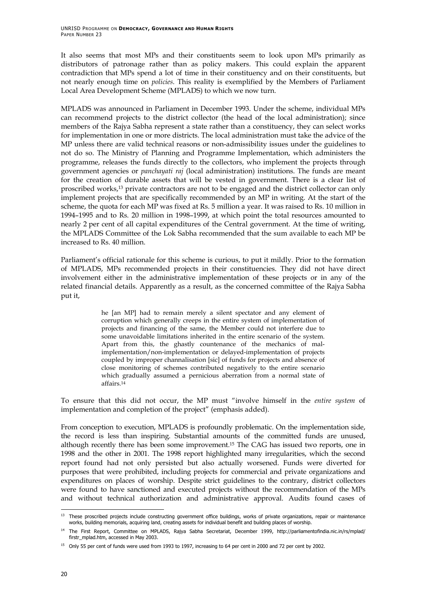It also seems that most MPs and their constituents seem to look upon MPs primarily as distributors of patronage rather than as policy makers. This could explain the apparent contradiction that MPs spend a lot of time in their constituency and on their constituents, but not nearly enough time on *policies*. This reality is exemplified by the Members of Parliament Local Area Development Scheme (MPLADS) to which we now turn.

MPLADS was announced in Parliament in December 1993. Under the scheme, individual MPs can recommend projects to the district collector (the head of the local administration); since members of the Rajya Sabha represent a state rather than a constituency, they can select works for implementation in one or more districts. The local administration must take the advice of the MP unless there are valid technical reasons or non-admissibility issues under the guidelines to not do so. The Ministry of Planning and Programme Implementation, which administers the programme, releases the funds directly to the collectors, who implement the projects through government agencies or *panchayati raj* (local administration) institutions. The funds are meant for the creation of durable assets that will be vested in government. There is a clear list of proscribed works[,13](#page-29-0) private contractors are not to be engaged and the district collector can only implement projects that are specifically recommended by an MP in writing. At the start of the scheme, the quota for each MP was fixed at Rs. 5 million a year. It was raised to Rs. 10 million in 1994–1995 and to Rs. 20 million in 1998–1999, at which point the total resources amounted to nearly 2 per cent of all capital expenditures of the Central government. At the time of writing, the MPLADS Committee of the Lok Sabha recommended that the sum available to each MP be increased to Rs. 40 million.

Parliament's official rationale for this scheme is curious, to put it mildly. Prior to the formation of MPLADS, MPs recommended projects in their constituencies. They did not have direct involvement either in the administrative implementation of these projects or in any of the related financial details. Apparently as a result, as the concerned committee of the Rajya Sabha put it,

> he [an MP] had to remain merely a silent spectator and any element of corruption which generally creeps in the entire system of implementation of projects and financing of the same, the Member could not interfere due to some unavoidable limitations inherited in the entire scenario of the system. Apart from this, the ghastly countenance of the mechanics of malimplementation/non-implementation or delayed-implementation of projects coupled by improper channalisation [sic] of funds for projects and absence of close monitoring of schemes contributed negatively to the entire scenario which gradually assumed a pernicious aberration from a normal state of affairs.[14](#page-29-1)

To ensure that this did not occur, the MP must "involve himself in the *entire system* of implementation and completion of the project" (emphasis added).

From conception to execution, MPLADS is profoundly problematic. On the implementation side, the record is less than inspiring. Substantial amounts of the committed funds are unused, although recently there has been some improvement.[15](#page-29-2) The CAG has issued two reports, one in 1998 and the other in 2001. The 1998 report highlighted many irregularities, which the second report found had not only persisted but also actually worsened. Funds were diverted for purposes that were prohibited, including projects for commercial and private organizations and expenditures on places of worship. Despite strict guidelines to the contrary, district collectors were found to have sanctioned and executed projects without the recommendation of the MPs and without technical authorization and administrative approval. Audits found cases of

<span id="page-29-0"></span>j <sup>13</sup> These proscribed projects include constructing government office buildings, works of private organizations, repair or maintenance works, building memorials, acquiring land, creating assets for individual benefit and building places of worship.

<span id="page-29-1"></span><sup>&</sup>lt;sup>14</sup> The First Report, Committee on MPLADS, Raiya Sabha Secretariat, December 1999, http://parliamentofindia.nic.in/rs/mplad/ firstr\_mplad.htm, accessed in May 2003.

<span id="page-29-2"></span><sup>&</sup>lt;sup>15</sup> Only 55 per cent of funds were used from 1993 to 1997, increasing to 64 per cent in 2000 and 72 per cent by 2002.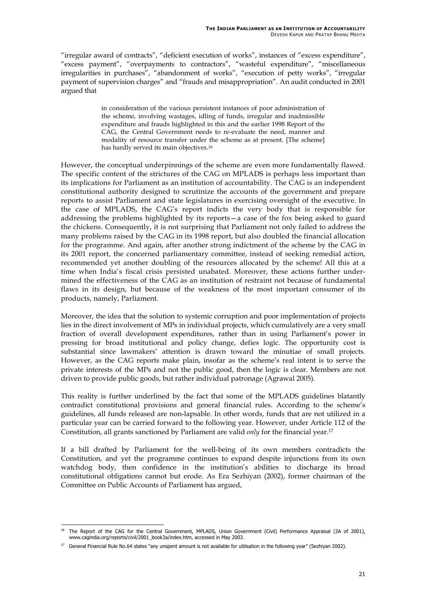"irregular award of contracts", "deficient execution of works", instances of "excess expenditure", "excess payment", "overpayments to contractors", "wasteful expenditure", "miscellaneous irregularities in purchases", "abandonment of works", "execution of petty works", "irregular payment of supervision charges" and "frauds and misappropriation". An audit conducted in 2001 argued that

> in consideration of the various persistent instances of poor administration of the scheme, involving wastages, idling of funds, irregular and inadmissible expenditure and frauds highlighted in this and the earlier 1998 Report of the CAG, the Central Government needs to re-evaluate the need, manner and modality of resource transfer under the scheme as at present. [The scheme] has hardly served its main objectives[.16](#page-30-0)

However, the conceptual underpinnings of the scheme are even more fundamentally flawed. The specific content of the strictures of the CAG on MPLADS is perhaps less important than its implications for Parliament as an institution of accountability. The CAG is an independent constitutional authority designed to scrutinize the accounts of the government and prepare reports to assist Parliament and state legislatures in exercising oversight of the executive. In the case of MPLADS, the CAG's report indicts the very body that is responsible for addressing the problems highlighted by its reports—a case of the fox being asked to guard the chickens. Consequently, it is not surprising that Parliament not only failed to address the many problems raised by the CAG in its 1998 report, but also doubled the financial allocation for the programme. And again, after another strong indictment of the scheme by the CAG in its 2001 report, the concerned parliamentary committee, instead of seeking remedial action, recommended yet another doubling of the resources allocated by the scheme! All this at a time when India's fiscal crisis persisted unabated. Moreover, these actions further undermined the effectiveness of the CAG as an institution of restraint not because of fundamental flaws in its design, but because of the weakness of the most important consumer of its products, namely, Parliament.

Moreover, the idea that the solution to systemic corruption and poor implementation of projects lies in the direct involvement of MPs in individual projects, which cumulatively are a very small fraction of overall development expenditures, rather than in using Parliament's power in pressing for broad institutional and policy change, defies logic. The opportunity cost is substantial since lawmakers' attention is drawn toward the minutiae of small projects. However, as the CAG reports make plain, insofar as the scheme's real intent is to serve the private interests of the MPs and not the public good, then the logic is clear. Members are not driven to provide public goods, but rather individual patronage (Agrawal 2005).

This reality is further underlined by the fact that some of the MPLADS guidelines blatantly contradict constitutional provisions and general financial rules. According to the scheme's guidelines, all funds released are non-lapsable. In other words, funds that are not utilized in a particular year can be carried forward to the following year. However, under Article 112 of the Constitution, all grants sanctioned by Parliament are valid *only* for the financial year. [17](#page-30-1)

If a bill drafted by Parliament for the well-being of its own members contradicts the Constitution, and yet the programme continues to expand despite injunctions from its own watchdog body, then confidence in the institution's abilities to discharge its broad constitutional obligations cannot but erode. As Era Sezhiyan (2002), former chairman of the Committee on Public Accounts of Parliament has argued,

<span id="page-30-0"></span><sup>-</sup><sup>16</sup> The Report of the CAG for the Central Government, MPLADS, Union Government (Civil) Performance Appraisal (3A of 2001), www.cagindia.org/reports/civil/2001\_book3a/index.htm, accessed in May 2003.

<span id="page-30-1"></span><sup>&</sup>lt;sup>17</sup> General Financial Rule No.64 states "any unspent amount is not available for utilisation in the following year" (Sezhiyan 2002).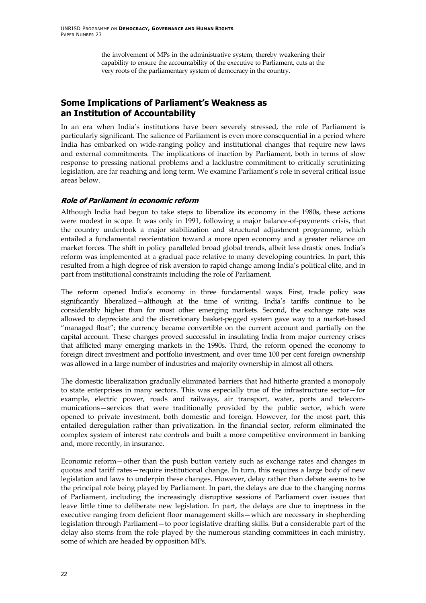<span id="page-31-0"></span>the involvement of MPs in the administrative system, thereby weakening their capability to ensure the accountability of the executive to Parliament, cuts at the very roots of the parliamentary system of democracy in the country.

## **Some Implications of Parliament's Weakness as an Institution of Accountability**

In an era when India's institutions have been severely stressed, the role of Parliament is particularly significant. The salience of Parliament is even more consequential in a period where India has embarked on wide-ranging policy and institutional changes that require new laws and external commitments. The implications of inaction by Parliament, both in terms of slow response to pressing national problems and a lacklustre commitment to critically scrutinizing legislation, are far reaching and long term. We examine Parliament's role in several critical issue areas below.

#### **Role of Parliament in economic reform**

Although India had begun to take steps to liberalize its economy in the 1980s, these actions were modest in scope. It was only in 1991, following a major balance-of-payments crisis, that the country undertook a major stabilization and structural adjustment programme, which entailed a fundamental reorientation toward a more open economy and a greater reliance on market forces. The shift in policy paralleled broad global trends, albeit less drastic ones. India's reform was implemented at a gradual pace relative to many developing countries. In part, this resulted from a high degree of risk aversion to rapid change among India's political elite, and in part from institutional constraints including the role of Parliament.

The reform opened India's economy in three fundamental ways. First, trade policy was significantly liberalized—although at the time of writing, India's tariffs continue to be considerably higher than for most other emerging markets. Second, the exchange rate was allowed to depreciate and the discretionary basket-pegged system gave way to a market-based "managed float"; the currency became convertible on the current account and partially on the capital account. These changes proved successful in insulating India from major currency crises that afflicted many emerging markets in the 1990s. Third, the reform opened the economy to foreign direct investment and portfolio investment, and over time 100 per cent foreign ownership was allowed in a large number of industries and majority ownership in almost all others.

The domestic liberalization gradually eliminated barriers that had hitherto granted a monopoly to state enterprises in many sectors. This was especially true of the infrastructure sector—for example, electric power, roads and railways, air transport, water, ports and telecommunications—services that were traditionally provided by the public sector, which were opened to private investment, both domestic and foreign. However, for the most part, this entailed deregulation rather than privatization. In the financial sector, reform eliminated the complex system of interest rate controls and built a more competitive environment in banking and, more recently, in insurance.

Economic reform—other than the push button variety such as exchange rates and changes in quotas and tariff rates—require institutional change. In turn, this requires a large body of new legislation and laws to underpin these changes. However, delay rather than debate seems to be the principal role being played by Parliament. In part, the delays are due to the changing norms of Parliament, including the increasingly disruptive sessions of Parliament over issues that leave little time to deliberate new legislation. In part, the delays are due to ineptness in the executive ranging from deficient floor management skills—which are necessary in shepherding legislation through Parliament—to poor legislative drafting skills. But a considerable part of the delay also stems from the role played by the numerous standing committees in each ministry, some of which are headed by opposition MPs.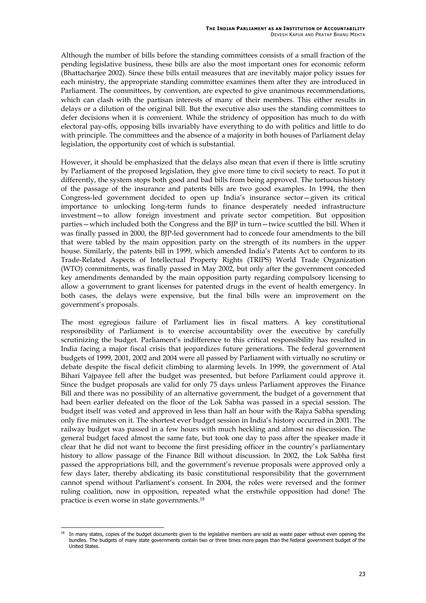Although the number of bills before the standing committees consists of a small fraction of the pending legislative business, these bills are also the most important ones for economic reform (Bhattacharjee 2002). Since these bills entail measures that are inevitably major policy issues for each ministry, the appropriate standing committee examines them after they are introduced in Parliament. The committees, by convention, are expected to give unanimous recommendations, which can clash with the partisan interests of many of their members. This either results in delays or a dilution of the original bill. But the executive also uses the standing committees to defer decisions when it is convenient. While the stridency of opposition has much to do with electoral pay-offs, opposing bills invariably have everything to do with politics and little to do with principle. The committees and the absence of a majority in both houses of Parliament delay legislation, the opportunity cost of which is substantial.

However, it should be emphasized that the delays also mean that even if there is little scrutiny by Parliament of the proposed legislation, they give more time to civil society to react. To put it differently, the system stops both good and bad bills from being approved. The tortuous history of the passage of the insurance and patents bills are two good examples. In 1994, the then Congress-led government decided to open up India's insurance sector—given its critical importance to unlocking long-term funds to finance desperately needed infrastructure investment—to allow foreign investment and private sector competition. But opposition parties—which included both the Congress and the BJP in turn—twice scuttled the bill. When it was finally passed in 2000, the BJP-led government had to concede four amendments to the bill that were tabled by the main opposition party on the strength of its numbers in the upper house. Similarly, the patents bill in 1999, which amended India's Patents Act to conform to its Trade-Related Aspects of Intellectual Property Rights (TRIPS) World Trade Organization (WTO) commitments, was finally passed in May 2002, but only after the government conceded key amendments demanded by the main opposition party regarding compulsory licensing to allow a government to grant licenses for patented drugs in the event of health emergency. In both cases, the delays were expensive, but the final bills were an improvement on the government's proposals.

The most egregious failure of Parliament lies in fiscal matters. A key constitutional responsibility of Parliament is to exercise accountability over the executive by carefully scrutinizing the budget. Parliament's indifference to this critical responsibility has resulted in India facing a major fiscal crisis that jeopardizes future generations. The federal government budgets of 1999, 2001, 2002 and 2004 were all passed by Parliament with virtually no scrutiny or debate despite the fiscal deficit climbing to alarming levels. In 1999, the government of Atal Bihari Vajpayee fell after the budget was presented, but before Parliament could approve it. Since the budget proposals are valid for only 75 days unless Parliament approves the Finance Bill and there was no possibility of an alternative government, the budget of a government that had been earlier defeated on the floor of the Lok Sabha was passed in a special session. The budget itself was voted and approved in less than half an hour with the Rajya Sabha spending only five minutes on it. The shortest ever budget session in India's history occurred in 2001. The railway budget was passed in a few hours with much heckling and almost no discussion. The general budget faced almost the same fate, but took one day to pass after the speaker made it clear that he did not want to become the first presiding officer in the country's parliamentary history to allow passage of the Finance Bill without discussion. In 2002, the Lok Sabha first passed the appropriations bill, and the government's revenue proposals were approved only a few days later, thereby abdicating its basic constitutional responsibility that the government cannot spend without Parliament's consent. In 2004, the roles were reversed and the former ruling coalition, now in opposition, repeated what the erstwhile opposition had done! The practice is even worse in state governments.[18](#page-32-0)

<span id="page-32-0"></span><sup>-</sup>In many states, copies of the budget documents given to the legislative members are sold as waste paper without even opening the bundles. The budgets of many state governments contain two or three times more pages than the federal government budget of the United States.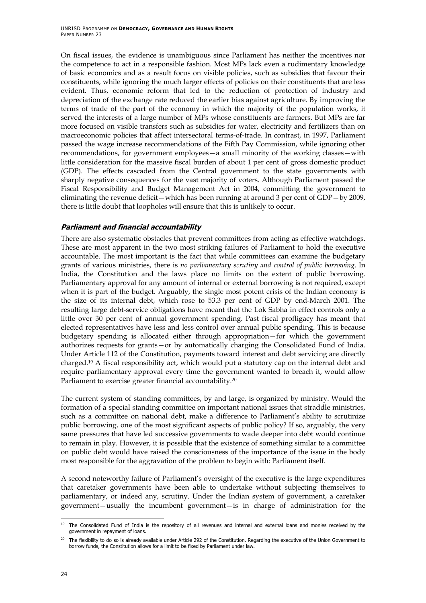<span id="page-33-0"></span>On fiscal issues, the evidence is unambiguous since Parliament has neither the incentives nor the competence to act in a responsible fashion. Most MPs lack even a rudimentary knowledge of basic economics and as a result focus on visible policies, such as subsidies that favour their constituents, while ignoring the much larger effects of policies on their constituents that are less evident. Thus, economic reform that led to the reduction of protection of industry and depreciation of the exchange rate reduced the earlier bias against agriculture. By improving the terms of trade of the part of the economy in which the majority of the population works, it served the interests of a large number of MPs whose constituents are farmers. But MPs are far more focused on visible transfers such as subsidies for water, electricity and fertilizers than on macroeconomic policies that affect intersectoral terms-of-trade. In contrast, in 1997, Parliament passed the wage increase recommendations of the Fifth Pay Commission, while ignoring other recommendations, for government employees—a small minority of the working classes—with little consideration for the massive fiscal burden of about 1 per cent of gross domestic product (GDP). The effects cascaded from the Central government to the state governments with sharply negative consequences for the vast majority of voters. Although Parliament passed the Fiscal Responsibility and Budget Management Act in 2004, committing the government to eliminating the revenue deficit—which has been running at around 3 per cent of GDP—by 2009, there is little doubt that loopholes will ensure that this is unlikely to occur.

#### **Parliament and financial accountability**

There are also systematic obstacles that prevent committees from acting as effective watchdogs. These are most apparent in the two most striking failures of Parliament to hold the executive accountable. The most important is the fact that while committees can examine the budgetary grants of various ministries, there is *no parliamentary scrutiny and control of public borrowing*. In India, the Constitution and the laws place no limits on the extent of public borrowing. Parliamentary approval for any amount of internal or external borrowing is not required, except when it is part of the budget. Arguably, the single most potent crisis of the Indian economy is the size of its internal debt, which rose to 53.3 per cent of GDP by end-March 2001. The resulting large debt-service obligations have meant that the Lok Sabha in effect controls only a little over 30 per cent of annual government spending. Past fiscal profligacy has meant that elected representatives have less and less control over annual public spending. This is because budgetary spending is allocated either through appropriation—for which the government authorizes requests for grants—or by automatically charging the Consolidated Fund of India. Under Article 112 of the Constitution, payments toward interest and debt servicing are directly charged[.19](#page-33-1) A fiscal responsibility act, which would put a statutory cap on the internal debt and require parliamentary approval every time the government wanted to breach it, would allow Parliament to exercise greater financial accountability.[20](#page-33-2)

The current system of standing committees, by and large, is organized by ministry. Would the formation of a special standing committee on important national issues that straddle ministries, such as a committee on national debt, make a difference to Parliament's ability to scrutinize public borrowing, one of the most significant aspects of public policy? If so, arguably, the very same pressures that have led successive governments to wade deeper into debt would continue to remain in play. However, it is possible that the existence of something similar to a committee on public debt would have raised the consciousness of the importance of the issue in the body most responsible for the aggravation of the problem to begin with: Parliament itself.

A second noteworthy failure of Parliament's oversight of the executive is the large expenditures that caretaker governments have been able to undertake without subjecting themselves to parliamentary, or indeed any, scrutiny. Under the Indian system of government, a caretaker government—usually the incumbent government—is in charge of administration for the

<span id="page-33-1"></span><sup>-</sup>The Consolidated Fund of India is the repository of all revenues and internal and external loans and monies received by the government in repayment of loans.

<span id="page-33-2"></span><sup>&</sup>lt;sup>20</sup> The flexibility to do so is already available under Article 292 of the Constitution. Regarding the executive of the Union Government to borrow funds, the Constitution allows for a limit to be fixed by Parliament under law.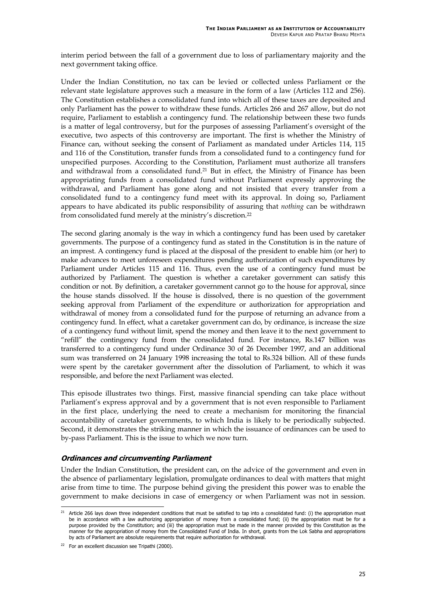<span id="page-34-0"></span>interim period between the fall of a government due to loss of parliamentary majority and the next government taking office.

Under the Indian Constitution, no tax can be levied or collected unless Parliament or the relevant state legislature approves such a measure in the form of a law (Articles 112 and 256). The Constitution establishes a consolidated fund into which all of these taxes are deposited and only Parliament has the power to withdraw these funds. Articles 266 and 267 allow, but do not require, Parliament to establish a contingency fund. The relationship between these two funds is a matter of legal controversy, but for the purposes of assessing Parliament's oversight of the executive, two aspects of this controversy are important. The first is whether the Ministry of Finance can, without seeking the consent of Parliament as mandated under Articles 114, 115 and 116 of the Constitution, transfer funds from a consolidated fund to a contingency fund for unspecified purposes. According to the Constitution, Parliament must authorize all transfers and withdrawal from a consolidated fund. [21](#page-34-1) But in effect, the Ministry of Finance has been appropriating funds from a consolidated fund without Parliament expressly approving the withdrawal, and Parliament has gone along and not insisted that every transfer from a consolidated fund to a contingency fund meet with its approval. In doing so, Parliament appears to have abdicated its public responsibility of assuring that *nothing* can be withdrawn from consolidated fund merely at the ministry's discretion.[22](#page-34-2)

The second glaring anomaly is the way in which a contingency fund has been used by caretaker governments. The purpose of a contingency fund as stated in the Constitution is in the nature of an imprest. A contingency fund is placed at the disposal of the president to enable him (or her) to make advances to meet unforeseen expenditures pending authorization of such expenditures by Parliament under Articles 115 and 116. Thus, even the use of a contingency fund must be authorized by Parliament. The question is whether a caretaker government can satisfy this condition or not. By definition, a caretaker government cannot go to the house for approval, since the house stands dissolved. If the house is dissolved, there is no question of the government seeking approval from Parliament of the expenditure or authorization for appropriation and withdrawal of money from a consolidated fund for the purpose of returning an advance from a contingency fund. In effect, what a caretaker government can do, by ordinance, is increase the size of a contingency fund without limit, spend the money and then leave it to the next government to "refill" the contingency fund from the consolidated fund. For instance, Rs.147 billion was transferred to a contingency fund under Ordinance 30 of 26 December 1997, and an additional sum was transferred on 24 January 1998 increasing the total to Rs.324 billion. All of these funds were spent by the caretaker government after the dissolution of Parliament, to which it was responsible, and before the next Parliament was elected.

This episode illustrates two things. First, massive financial spending can take place without Parliament's express approval and by a government that is not even responsible to Parliament in the first place, underlying the need to create a mechanism for monitoring the financial accountability of caretaker governments, to which India is likely to be periodically subjected. Second, it demonstrates the striking manner in which the issuance of ordinances can be used to by-pass Parliament. This is the issue to which we now turn.

#### **Ordinances and circumventing Parliament**

Under the Indian Constitution, the president can, on the advice of the government and even in the absence of parliamentary legislation, promulgate ordinances to deal with matters that might arise from time to time. The purpose behind giving the president this power was to enable the government to make decisions in case of emergency or when Parliament was not in session.

l

<span id="page-34-1"></span> $^{21}$  Article 266 lays down three independent conditions that must be satisfied to tap into a consolidated fund: (i) the appropriation must be in accordance with a law authorizing appropriation of money from a consolidated fund; (ii) the appropriation must be for a purpose provided by the Constitution; and (iii) the appropriation must be made in the manner provided by this Constitution as the manner for the appropriation of money from the Consolidated Fund of India. In short, grants from the Lok Sabha and appropriations by acts of Parliament are absolute requirements that require authorization for withdrawal.

<span id="page-34-2"></span> $22$  For an excellent discussion see Tripathi (2000).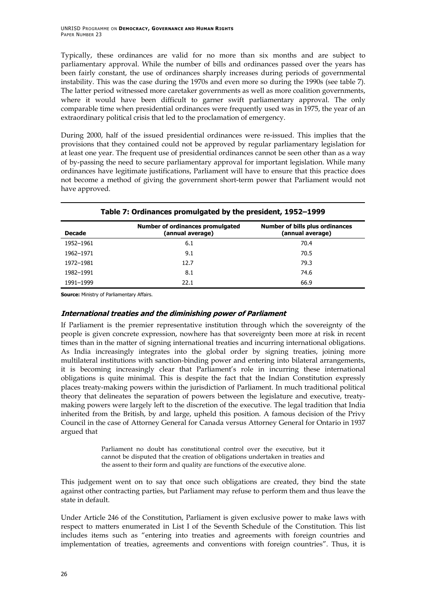<span id="page-35-0"></span>Typically, these ordinances are valid for no more than six months and are subject to parliamentary approval. While the number of bills and ordinances passed over the years has been fairly constant, the use of ordinances sharply increases during periods of governmental instability. This was the case during the 1970s and even more so during the 1990s (see table 7). The latter period witnessed more caretaker governments as well as more coalition governments, where it would have been difficult to garner swift parliamentary approval. The only comparable time when presidential ordinances were frequently used was in 1975, the year of an extraordinary political crisis that led to the proclamation of emergency.

During 2000, half of the issued presidential ordinances were re-issued. This implies that the provisions that they contained could not be approved by regular parliamentary legislation for at least one year. The frequent use of presidential ordinances cannot be seen other than as a way of by-passing the need to secure parliamentary approval for important legislation. While many ordinances have legitimate justifications, Parliament will have to ensure that this practice does not become a method of giving the government short-term power that Parliament would not have approved.

| $\frac{1}{2}$ and $\frac{1}{2}$ . The contract of the state $\frac{1}{2}$ and $\frac{1}{2}$ are producing $\frac{1}{2}$ and $\frac{1}{2}$ |                                                      |                                                            |
|-------------------------------------------------------------------------------------------------------------------------------------------|------------------------------------------------------|------------------------------------------------------------|
| <b>Decade</b>                                                                                                                             | Number of ordinances promulgated<br>(annual average) | <b>Number of bills plus ordinances</b><br>(annual average) |
| 1952-1961                                                                                                                                 | 6.1                                                  | 70.4                                                       |
| 1962-1971                                                                                                                                 | 9.1                                                  | 70.5                                                       |
| 1972-1981                                                                                                                                 | 12.7                                                 | 79.3                                                       |
| 1982-1991                                                                                                                                 | 8.1                                                  | 74.6                                                       |
| 1991-1999                                                                                                                                 | 22.1                                                 | 66.9                                                       |

#### **Table 7: Ordinances promulgated by the president, 1952–1999**

**Source:** Ministry of Parliamentary Affairs.

#### **International treaties and the diminishing power of Parliament**

If Parliament is the premier representative institution through which the sovereignty of the people is given concrete expression, nowhere has that sovereignty been more at risk in recent times than in the matter of signing international treaties and incurring international obligations. As India increasingly integrates into the global order by signing treaties, joining more multilateral institutions with sanction-binding power and entering into bilateral arrangements, it is becoming increasingly clear that Parliament's role in incurring these international obligations is quite minimal. This is despite the fact that the Indian Constitution expressly places treaty-making powers within the jurisdiction of Parliament. In much traditional political theory that delineates the separation of powers between the legislature and executive, treatymaking powers were largely left to the discretion of the executive. The legal tradition that India inherited from the British, by and large, upheld this position. A famous decision of the Privy Council in the case of Attorney General for Canada versus Attorney General for Ontario in 1937 argued that

> Parliament no doubt has constitutional control over the executive, but it cannot be disputed that the creation of obligations undertaken in treaties and the assent to their form and quality are functions of the executive alone.

This judgement went on to say that once such obligations are created, they bind the state against other contracting parties, but Parliament may refuse to perform them and thus leave the state in default.

Under Article 246 of the Constitution, Parliament is given exclusive power to make laws with respect to matters enumerated in List I of the Seventh Schedule of the Constitution. This list includes items such as "entering into treaties and agreements with foreign countries and implementation of treaties, agreements and conventions with foreign countries". Thus, it is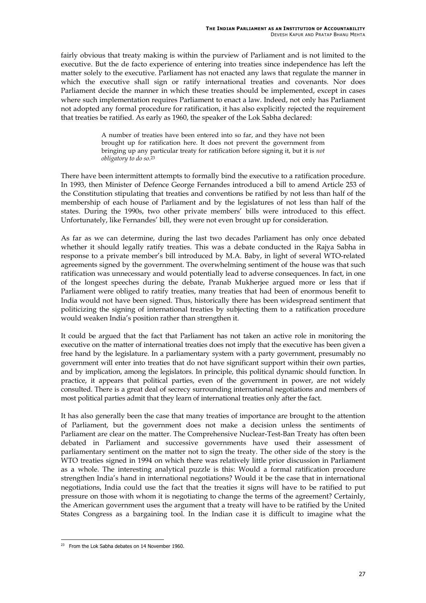fairly obvious that treaty making is within the purview of Parliament and is not limited to the executive. But the de facto experience of entering into treaties since independence has left the matter solely to the executive. Parliament has not enacted any laws that regulate the manner in which the executive shall sign or ratify international treaties and covenants. Nor does Parliament decide the manner in which these treaties should be implemented, except in cases where such implementation requires Parliament to enact a law. Indeed, not only has Parliament not adopted any formal procedure for ratification, it has also explicitly rejected the requirement that treaties be ratified. As early as 1960, the speaker of the Lok Sabha declared:

> A number of treaties have been entered into so far, and they have not been brought up for ratification here. It does not prevent the government from bringing up any particular treaty for ratification before signing it, but it is *not obligatory to do so*.[23](#page-36-0)

There have been intermittent attempts to formally bind the executive to a ratification procedure. In 1993, then Minister of Defence George Fernandes introduced a bill to amend Article 253 of the Constitution stipulating that treaties and conventions be ratified by not less than half of the membership of each house of Parliament and by the legislatures of not less than half of the states. During the 1990s, two other private members' bills were introduced to this effect. Unfortunately, like Fernandes' bill, they were not even brought up for consideration.

As far as we can determine, during the last two decades Parliament has only once debated whether it should legally ratify treaties. This was a debate conducted in the Rajya Sabha in response to a private member's bill introduced by M.A. Baby, in light of several WTO-related agreements signed by the government. The overwhelming sentiment of the house was that such ratification was unnecessary and would potentially lead to adverse consequences. In fact, in one of the longest speeches during the debate, Pranab Mukherjee argued more or less that if Parliament were obliged to ratify treaties, many treaties that had been of enormous benefit to India would not have been signed. Thus, historically there has been widespread sentiment that politicizing the signing of international treaties by subjecting them to a ratification procedure would weaken India's position rather than strengthen it.

It could be argued that the fact that Parliament has not taken an active role in monitoring the executive on the matter of international treaties does not imply that the executive has been given a free hand by the legislature. In a parliamentary system with a party government, presumably no government will enter into treaties that do not have significant support within their own parties, and by implication, among the legislators. In principle, this political dynamic should function. In practice, it appears that political parties, even of the government in power, are not widely consulted. There is a great deal of secrecy surrounding international negotiations and members of most political parties admit that they learn of international treaties only after the fact.

It has also generally been the case that many treaties of importance are brought to the attention of Parliament, but the government does not make a decision unless the sentiments of Parliament are clear on the matter. The Comprehensive Nuclear-Test-Ban Treaty has often been debated in Parliament and successive governments have used their assessment of parliamentary sentiment on the matter not to sign the treaty. The other side of the story is the WTO treaties signed in 1994 on which there was relatively little prior discussion in Parliament as a whole. The interesting analytical puzzle is this: Would a formal ratification procedure strengthen India's hand in international negotiations? Would it be the case that in international negotiations, India could use the fact that the treaties it signs will have to be ratified to put pressure on those with whom it is negotiating to change the terms of the agreement? Certainly, the American government uses the argument that a treaty will have to be ratified by the United States Congress as a bargaining tool. In the Indian case it is difficult to imagine what the

<span id="page-36-0"></span><sup>-</sup> $23$  From the Lok Sabha debates on 14 November 1960.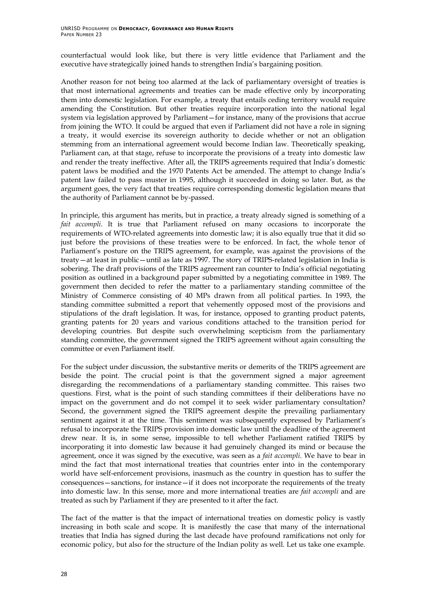counterfactual would look like, but there is very little evidence that Parliament and the executive have strategically joined hands to strengthen India's bargaining position.

Another reason for not being too alarmed at the lack of parliamentary oversight of treaties is that most international agreements and treaties can be made effective only by incorporating them into domestic legislation. For example, a treaty that entails ceding territory would require amending the Constitution. But other treaties require incorporation into the national legal system via legislation approved by Parliament—for instance, many of the provisions that accrue from joining the WTO. It could be argued that even if Parliament did not have a role in signing a treaty, it would exercise its sovereign authority to decide whether or not an obligation stemming from an international agreement would become Indian law. Theoretically speaking, Parliament can, at that stage, refuse to incorporate the provisions of a treaty into domestic law and render the treaty ineffective. After all, the TRIPS agreements required that India's domestic patent laws be modified and the 1970 Patents Act be amended. The attempt to change India's patent law failed to pass muster in 1995, although it succeeded in doing so later. But, as the argument goes, the very fact that treaties require corresponding domestic legislation means that the authority of Parliament cannot be by-passed.

In principle, this argument has merits, but in practice, a treaty already signed is something of a *fait accompli*. It is true that Parliament refused on many occasions to incorporate the requirements of WTO-related agreements into domestic law; it is also equally true that it did so just before the provisions of these treaties were to be enforced. In fact, the whole tenor of Parliament's posture on the TRIPS agreement, for example, was against the provisions of the treaty—at least in public—until as late as 1997. The story of TRIPS-related legislation in India is sobering. The draft provisions of the TRIPS agreement ran counter to India's official negotiating position as outlined in a background paper submitted by a negotiating committee in 1989. The government then decided to refer the matter to a parliamentary standing committee of the Ministry of Commerce consisting of 40 MPs drawn from all political parties. In 1993, the standing committee submitted a report that vehemently opposed most of the provisions and stipulations of the draft legislation. It was, for instance, opposed to granting product patents, granting patents for 20 years and various conditions attached to the transition period for developing countries. But despite such overwhelming scepticism from the parliamentary standing committee, the government signed the TRIPS agreement without again consulting the committee or even Parliament itself.

For the subject under discussion, the substantive merits or demerits of the TRIPS agreement are beside the point. The crucial point is that the government signed a major agreement disregarding the recommendations of a parliamentary standing committee. This raises two questions. First, what is the point of such standing committees if their deliberations have no impact on the government and do not compel it to seek wider parliamentary consultation? Second, the government signed the TRIPS agreement despite the prevailing parliamentary sentiment against it at the time. This sentiment was subsequently expressed by Parliament's refusal to incorporate the TRIPS provision into domestic law until the deadline of the agreement drew near. It is, in some sense, impossible to tell whether Parliament ratified TRIPS by incorporating it into domestic law because it had genuinely changed its mind or because the agreement, once it was signed by the executive, was seen as a *fait accompli*. We have to bear in mind the fact that most international treaties that countries enter into in the contemporary world have self-enforcement provisions, inasmuch as the country in question has to suffer the consequences—sanctions, for instance—if it does not incorporate the requirements of the treaty into domestic law. In this sense, more and more international treaties are *fait accompli* and are treated as such by Parliament if they are presented to it after the fact.

The fact of the matter is that the impact of international treaties on domestic policy is vastly increasing in both scale and scope. It is manifestly the case that many of the international treaties that India has signed during the last decade have profound ramifications not only for economic policy, but also for the structure of the Indian polity as well. Let us take one example.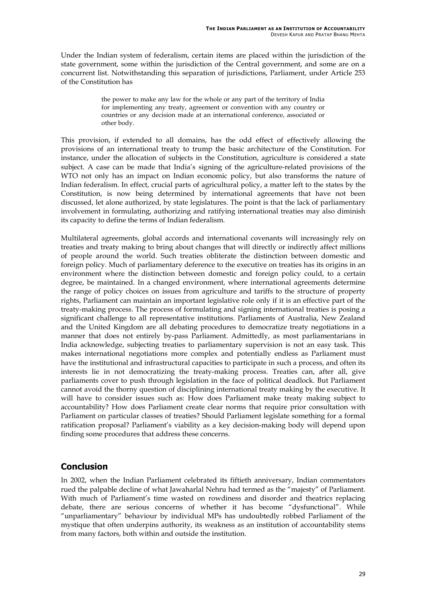<span id="page-38-0"></span>Under the Indian system of federalism, certain items are placed within the jurisdiction of the state government, some within the jurisdiction of the Central government, and some are on a concurrent list. Notwithstanding this separation of jurisdictions, Parliament, under Article 253 of the Constitution has

> the power to make any law for the whole or any part of the territory of India for implementing any treaty, agreement or convention with any country or countries or any decision made at an international conference, associated or other body.

This provision, if extended to all domains, has the odd effect of effectively allowing the provisions of an international treaty to trump the basic architecture of the Constitution. For instance, under the allocation of subjects in the Constitution, agriculture is considered a state subject. A case can be made that India's signing of the agriculture-related provisions of the WTO not only has an impact on Indian economic policy, but also transforms the nature of Indian federalism. In effect, crucial parts of agricultural policy, a matter left to the states by the Constitution, is now being determined by international agreements that have not been discussed, let alone authorized, by state legislatures. The point is that the lack of parliamentary involvement in formulating, authorizing and ratifying international treaties may also diminish its capacity to define the terms of Indian federalism.

Multilateral agreements, global accords and international covenants will increasingly rely on treaties and treaty making to bring about changes that will directly or indirectly affect millions of people around the world. Such treaties obliterate the distinction between domestic and foreign policy. Much of parliamentary deference to the executive on treaties has its origins in an environment where the distinction between domestic and foreign policy could, to a certain degree, be maintained. In a changed environment, where international agreements determine the range of policy choices on issues from agriculture and tariffs to the structure of property rights, Parliament can maintain an important legislative role only if it is an effective part of the treaty-making process. The process of formulating and signing international treaties is posing a significant challenge to all representative institutions. Parliaments of Australia, New Zealand and the United Kingdom are all debating procedures to democratize treaty negotiations in a manner that does not entirely by-pass Parliament. Admittedly, as most parliamentarians in India acknowledge, subjecting treaties to parliamentary supervision is not an easy task. This makes international negotiations more complex and potentially endless as Parliament must have the institutional and infrastructural capacities to participate in such a process, and often its interests lie in not democratizing the treaty-making process. Treaties can, after all, give parliaments cover to push through legislation in the face of political deadlock. But Parliament cannot avoid the thorny question of disciplining international treaty making by the executive. It will have to consider issues such as: How does Parliament make treaty making subject to accountability? How does Parliament create clear norms that require prior consultation with Parliament on particular classes of treaties? Should Parliament legislate something for a formal ratification proposal? Parliament's viability as a key decision-making body will depend upon finding some procedures that address these concerns.

## **Conclusion**

In 2002, when the Indian Parliament celebrated its fiftieth anniversary, Indian commentators rued the palpable decline of what Jawaharlal Nehru had termed as the "majesty" of Parliament. With much of Parliament's time wasted on rowdiness and disorder and theatrics replacing debate, there are serious concerns of whether it has become "dysfunctional". While "unparliamentary" behaviour by individual MPs has undoubtedly robbed Parliament of the mystique that often underpins authority, its weakness as an institution of accountability stems from many factors, both within and outside the institution.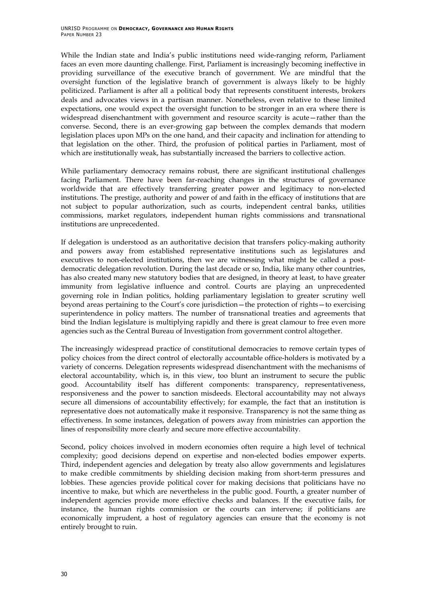While the Indian state and India's public institutions need wide-ranging reform, Parliament faces an even more daunting challenge. First, Parliament is increasingly becoming ineffective in providing surveillance of the executive branch of government. We are mindful that the oversight function of the legislative branch of government is always likely to be highly politicized. Parliament is after all a political body that represents constituent interests, brokers deals and advocates views in a partisan manner. Nonetheless, even relative to these limited expectations, one would expect the oversight function to be stronger in an era where there is widespread disenchantment with government and resource scarcity is acute—rather than the converse. Second, there is an ever-growing gap between the complex demands that modern legislation places upon MPs on the one hand, and their capacity and inclination for attending to that legislation on the other. Third, the profusion of political parties in Parliament, most of which are institutionally weak, has substantially increased the barriers to collective action.

While parliamentary democracy remains robust, there are significant institutional challenges facing Parliament. There have been far-reaching changes in the structures of governance worldwide that are effectively transferring greater power and legitimacy to non-elected institutions. The prestige, authority and power of and faith in the efficacy of institutions that are not subject to popular authorization, such as courts, independent central banks, utilities commissions, market regulators, independent human rights commissions and transnational institutions are unprecedented.

If delegation is understood as an authoritative decision that transfers policy-making authority and powers away from established representative institutions such as legislatures and executives to non-elected institutions, then we are witnessing what might be called a postdemocratic delegation revolution. During the last decade or so, India, like many other countries, has also created many new statutory bodies that are designed, in theory at least, to have greater immunity from legislative influence and control. Courts are playing an unprecedented governing role in Indian politics, holding parliamentary legislation to greater scrutiny well beyond areas pertaining to the Court's core jurisdiction—the protection of rights—to exercising superintendence in policy matters. The number of transnational treaties and agreements that bind the Indian legislature is multiplying rapidly and there is great clamour to free even more agencies such as the Central Bureau of Investigation from government control altogether.

The increasingly widespread practice of constitutional democracies to remove certain types of policy choices from the direct control of electorally accountable office-holders is motivated by a variety of concerns. Delegation represents widespread disenchantment with the mechanisms of electoral accountability, which is, in this view, too blunt an instrument to secure the public good. Accountability itself has different components: transparency, representativeness, responsiveness and the power to sanction misdeeds. Electoral accountability may not always secure all dimensions of accountability effectively; for example, the fact that an institution is representative does not automatically make it responsive. Transparency is not the same thing as effectiveness. In some instances, delegation of powers away from ministries can apportion the lines of responsibility more clearly and secure more effective accountability.

Second, policy choices involved in modern economies often require a high level of technical complexity; good decisions depend on expertise and non-elected bodies empower experts. Third, independent agencies and delegation by treaty also allow governments and legislatures to make credible commitments by shielding decision making from short-term pressures and lobbies. These agencies provide political cover for making decisions that politicians have no incentive to make, but which are nevertheless in the public good. Fourth, a greater number of independent agencies provide more effective checks and balances. If the executive fails, for instance, the human rights commission or the courts can intervene; if politicians are economically imprudent, a host of regulatory agencies can ensure that the economy is not entirely brought to ruin.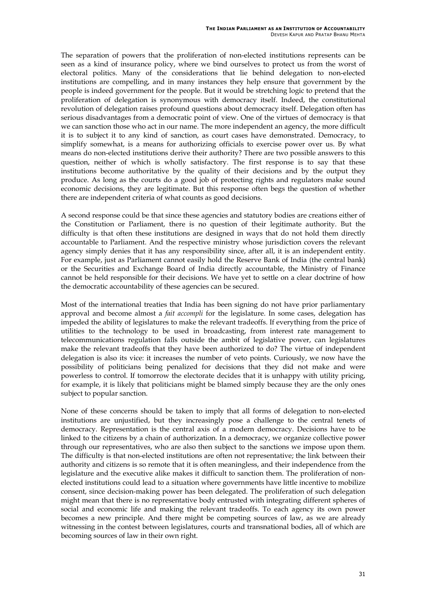The separation of powers that the proliferation of non-elected institutions represents can be seen as a kind of insurance policy, where we bind ourselves to protect us from the worst of electoral politics. Many of the considerations that lie behind delegation to non-elected institutions are compelling, and in many instances they help ensure that government by the people is indeed government for the people. But it would be stretching logic to pretend that the proliferation of delegation is synonymous with democracy itself. Indeed, the constitutional revolution of delegation raises profound questions about democracy itself. Delegation often has serious disadvantages from a democratic point of view. One of the virtues of democracy is that we can sanction those who act in our name. The more independent an agency, the more difficult it is to subject it to any kind of sanction, as court cases have demonstrated. Democracy, to simplify somewhat, is a means for authorizing officials to exercise power over us. By what means do non-elected institutions derive their authority? There are two possible answers to this question, neither of which is wholly satisfactory. The first response is to say that these institutions become authoritative by the quality of their decisions and by the output they produce. As long as the courts do a good job of protecting rights and regulators make sound economic decisions, they are legitimate. But this response often begs the question of whether there are independent criteria of what counts as good decisions.

A second response could be that since these agencies and statutory bodies are creations either of the Constitution or Parliament, there is no question of their legitimate authority. But the difficulty is that often these institutions are designed in ways that do not hold them directly accountable to Parliament. And the respective ministry whose jurisdiction covers the relevant agency simply denies that it has any responsibility since, after all, it is an independent entity. For example, just as Parliament cannot easily hold the Reserve Bank of India (the central bank) or the Securities and Exchange Board of India directly accountable, the Ministry of Finance cannot be held responsible for their decisions. We have yet to settle on a clear doctrine of how the democratic accountability of these agencies can be secured.

Most of the international treaties that India has been signing do not have prior parliamentary approval and become almost a *fait accompli* for the legislature. In some cases, delegation has impeded the ability of legislatures to make the relevant tradeoffs. If everything from the price of utilities to the technology to be used in broadcasting, from interest rate management to telecommunications regulation falls outside the ambit of legislative power, can legislatures make the relevant tradeoffs that they have been authorized to do? The virtue of independent delegation is also its vice: it increases the number of veto points. Curiously, we now have the possibility of politicians being penalized for decisions that they did not make and were powerless to control. If tomorrow the electorate decides that it is unhappy with utility pricing, for example, it is likely that politicians might be blamed simply because they are the only ones subject to popular sanction.

None of these concerns should be taken to imply that all forms of delegation to non-elected institutions are unjustified, but they increasingly pose a challenge to the central tenets of democracy. Representation is the central axis of a modern democracy. Decisions have to be linked to the citizens by a chain of authorization. In a democracy, we organize collective power through our representatives, who are also then subject to the sanctions we impose upon them. The difficulty is that non-elected institutions are often not representative; the link between their authority and citizens is so remote that it is often meaningless, and their independence from the legislature and the executive alike makes it difficult to sanction them. The proliferation of nonelected institutions could lead to a situation where governments have little incentive to mobilize consent, since decision-making power has been delegated. The proliferation of such delegation might mean that there is no representative body entrusted with integrating different spheres of social and economic life and making the relevant tradeoffs. To each agency its own power becomes a new principle. And there might be competing sources of law, as we are already witnessing in the contest between legislatures, courts and transnational bodies, all of which are becoming sources of law in their own right.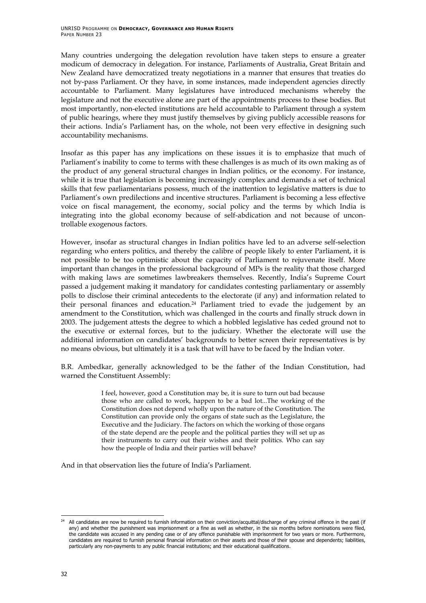Many countries undergoing the delegation revolution have taken steps to ensure a greater modicum of democracy in delegation. For instance, Parliaments of Australia, Great Britain and New Zealand have democratized treaty negotiations in a manner that ensures that treaties do not by-pass Parliament. Or they have, in some instances, made independent agencies directly accountable to Parliament. Many legislatures have introduced mechanisms whereby the legislature and not the executive alone are part of the appointments process to these bodies. But most importantly, non-elected institutions are held accountable to Parliament through a system of public hearings, where they must justify themselves by giving publicly accessible reasons for their actions. India's Parliament has, on the whole, not been very effective in designing such accountability mechanisms.

Insofar as this paper has any implications on these issues it is to emphasize that much of Parliament's inability to come to terms with these challenges is as much of its own making as of the product of any general structural changes in Indian politics, or the economy. For instance, while it is true that legislation is becoming increasingly complex and demands a set of technical skills that few parliamentarians possess, much of the inattention to legislative matters is due to Parliament's own predilections and incentive structures. Parliament is becoming a less effective voice on fiscal management, the economy, social policy and the terms by which India is integrating into the global economy because of self-abdication and not because of uncontrollable exogenous factors.

However, insofar as structural changes in Indian politics have led to an adverse self-selection regarding who enters politics, and thereby the calibre of people likely to enter Parliament, it is not possible to be too optimistic about the capacity of Parliament to rejuvenate itself. More important than changes in the professional background of MPs is the reality that those charged with making laws are sometimes lawbreakers themselves. Recently, India's Supreme Court passed a judgement making it mandatory for candidates contesting parliamentary or assembly polls to disclose their criminal antecedents to the electorate (if any) and information related to their personal finances and education.[24](#page-41-0) Parliament tried to evade the judgement by an amendment to the Constitution, which was challenged in the courts and finally struck down in 2003. The judgement attests the degree to which a hobbled legislative has ceded ground not to the executive or external forces, but to the judiciary. Whether the electorate will use the additional information on candidates' backgrounds to better screen their representatives is by no means obvious, but ultimately it is a task that will have to be faced by the Indian voter.

B.R. Ambedkar, generally acknowledged to be the father of the Indian Constitution, had warned the Constituent Assembly:

> I feel, however, good a Constitution may be, it is sure to turn out bad because those who are called to work, happen to be a bad lot...The working of the Constitution does not depend wholly upon the nature of the Constitution. The Constitution can provide only the organs of state such as the Legislature, the Executive and the Judiciary. The factors on which the working of those organs of the state depend are the people and the political parties they will set up as their instruments to carry out their wishes and their politics. Who can say how the people of India and their parties will behave?

And in that observation lies the future of India's Parliament.

-

<span id="page-41-0"></span>All candidates are now be required to furnish information on their conviction/acquittal/discharge of any criminal offence in the past (if any) and whether the punishment was imprisonment or a fine as well as whether, in the six months before nominations were filed, the candidate was accused in any pending case or of any offence punishable with imprisonment for two years or more. Furthermore, candidates are required to furnish personal financial information on their assets and those of their spouse and dependents; liabilities, particularly any non-payments to any public financial institutions; and their educational qualifications.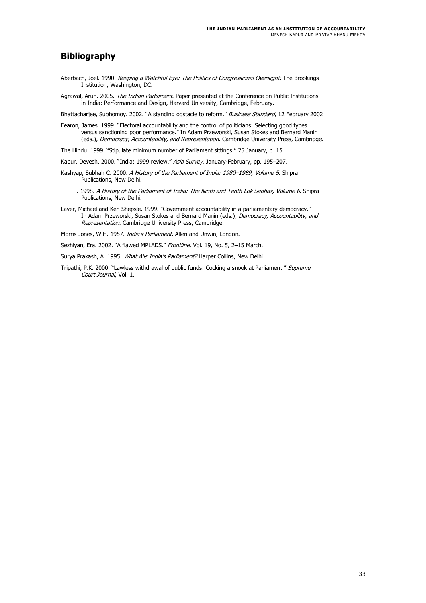### <span id="page-42-0"></span>**Bibliography**

- Aberbach, Joel. 1990. Keeping a Watchful Eye: The Politics of Congressional Oversight. The Brookings Institution, Washington, DC.
- Agrawal, Arun. 2005. The Indian Parliament. Paper presented at the Conference on Public Institutions in India: Performance and Design, Harvard University, Cambridge, February.

Bhattacharjee, Subhomoy. 2002. "A standing obstacle to reform." Business Standard, 12 February 2002.

Fearon, James. 1999. "Electoral accountability and the control of politicians: Selecting good types versus sanctioning poor performance." In Adam Przeworski, Susan Stokes and Bernard Manin (eds.), Democracy, Accountability, and Representation. Cambridge University Press, Cambridge.

The Hindu. 1999. "Stipulate minimum number of Parliament sittings." 25 January, p. 15.

- Kapur, Devesh. 2000. "India: 1999 review." Asia Survey, January-February, pp. 195-207.
- Kashyap, Subhah C. 2000. A History of the Parliament of India: 1980–1989, Volume 5. Shipra Publications, New Delhi.
- -. 1998. A History of the Parliament of India: The Ninth and Tenth Lok Sabhas, Volume 6. Shipra Publications, New Delhi.
- In Adam Przeworski, Susan Stokes and Bernard Manin (eds.), *Democracy, Accountability, and* Laver, Michael and Ken Shepsle. 1999. "Government accountability in a parliamentary democracy." Representation. Cambridge University Press, Cambridge.

Morris Jones, W.H. 1957. India's Parliament. Allen and Unwin, London.

Sezhiyan, Era. 2002. "A flawed MPLADS." Frontline, Vol. 19, No. 5, 2-15 March.

Surya Prakash, A. 1995. What Ails India's Parliament? Harper Collins, New Delhi.

Tripathi, P.K. 2000. "Lawless withdrawal of public funds: Cocking a snook at Parliament." Supreme Court Journal, Vol. 1.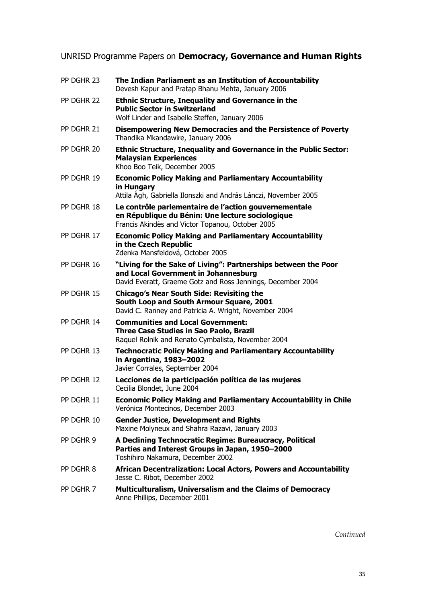## <span id="page-44-0"></span>UNRISD Programme Papers on **Democracy, Governance and Human Rights**

| PP DGHR 23 | The Indian Parliament as an Institution of Accountability<br>Devesh Kapur and Pratap Bhanu Mehta, January 2006                                                        |
|------------|-----------------------------------------------------------------------------------------------------------------------------------------------------------------------|
| PP DGHR 22 | <b>Ethnic Structure, Inequality and Governance in the</b><br><b>Public Sector in Switzerland</b><br>Wolf Linder and Isabelle Steffen, January 2006                    |
| PP DGHR 21 | Disempowering New Democracies and the Persistence of Poverty<br>Thandika Mkandawire, January 2006                                                                     |
| PP DGHR 20 | <b>Ethnic Structure, Inequality and Governance in the Public Sector:</b><br><b>Malaysian Experiences</b><br>Khoo Boo Teik, December 2005                              |
| PP DGHR 19 | <b>Economic Policy Making and Parliamentary Accountability</b><br>in Hungary<br>Attila Agh, Gabriella Ilonszki and András Lánczi, November 2005                       |
| PP DGHR 18 | Le contrôle parlementaire de l'action gouvernementale<br>en République du Bénin: Une lecture sociologique<br>Francis Akindès and Victor Topanou, October 2005         |
| PP DGHR 17 | <b>Economic Policy Making and Parliamentary Accountability</b><br>in the Czech Republic<br>Zdenka Mansfeldová, October 2005                                           |
| PP DGHR 16 | "Living for the Sake of Living": Partnerships between the Poor<br>and Local Government in Johannesburg<br>David Everatt, Graeme Gotz and Ross Jennings, December 2004 |
| PP DGHR 15 | <b>Chicago's Near South Side: Revisiting the</b><br>South Loop and South Armour Square, 2001<br>David C. Ranney and Patricia A. Wright, November 2004                 |
| PP DGHR 14 | <b>Communities and Local Government:</b><br>Three Case Studies in Sao Paolo, Brazil<br>Raquel Rolnik and Renato Cymbalista, November 2004                             |
| PP DGHR 13 | <b>Technocratic Policy Making and Parliamentary Accountability</b><br>in Argentina, 1983-2002<br>Javier Corrales, September 2004                                      |
| PP DGHR 12 | Lecciones de la participación política de las mujeres<br>Cecilia Blondet, June 2004                                                                                   |
| PP DGHR 11 | <b>Economic Policy Making and Parliamentary Accountability in Chile</b><br>Verónica Montecinos, December 2003                                                         |
| PP DGHR 10 | <b>Gender Justice, Development and Rights</b><br>Maxine Molyneux and Shahra Razavi, January 2003                                                                      |
| PP DGHR 9  | A Declining Technocratic Regime: Bureaucracy, Political<br>Parties and Interest Groups in Japan, 1950-2000<br>Toshihiro Nakamura, December 2002                       |
| PP DGHR 8  | African Decentralization: Local Actors, Powers and Accountability<br>Jesse C. Ribot, December 2002                                                                    |
| PP DGHR 7  | Multiculturalism, Universalism and the Claims of Democracy<br>Anne Phillips, December 2001                                                                            |

*Continued*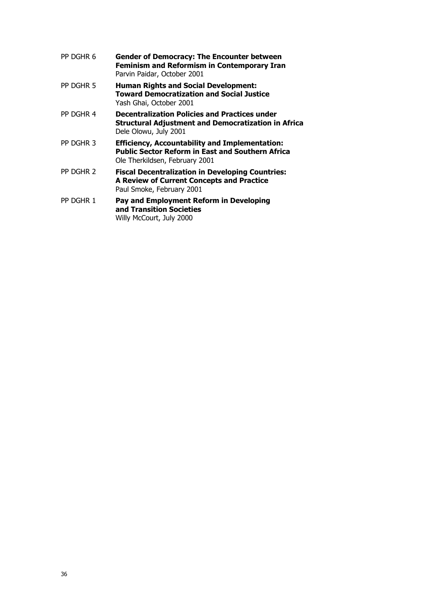| PP DGHR 6 | <b>Gender of Democracy: The Encounter between</b><br><b>Feminism and Reformism in Contemporary Iran</b><br>Parvin Paidar, October 2001             |
|-----------|----------------------------------------------------------------------------------------------------------------------------------------------------|
| PP DGHR 5 | <b>Human Rights and Social Development:</b><br><b>Toward Democratization and Social Justice</b><br>Yash Ghai, October 2001                         |
| PP DGHR 4 | <b>Decentralization Policies and Practices under</b><br><b>Structural Adjustment and Democratization in Africa</b><br>Dele Olowu, July 2001        |
| PP DGHR 3 | <b>Efficiency, Accountability and Implementation:</b><br><b>Public Sector Reform in East and Southern Africa</b><br>Ole Therkildsen, February 2001 |
| PP DGHR 2 | <b>Fiscal Decentralization in Developing Countries:</b><br><b>A Review of Current Concepts and Practice</b><br>Paul Smoke, February 2001           |
| PP DGHR 1 | Pay and Employment Reform in Developing<br>and Transition Societies<br>Willy McCourt, July 2000                                                    |